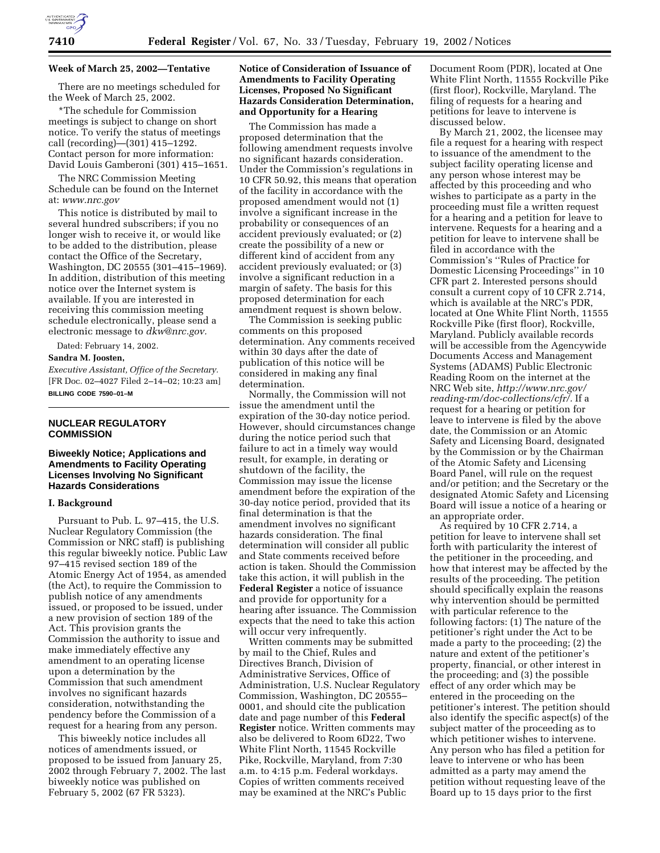

#### **Week of March 25, 2002—Tentative**

There are no meetings scheduled for the Week of March 25, 2002.

\*The schedule for Commission meetings is subject to change on short notice. To verify the status of meetings call (recording)—(301) 415–1292. Contact person for more information: David Louis Gamberoni (301) 415–1651.

The NRC Commission Meeting Schedule can be found on the Internet at: *www.nrc.gov*

This notice is distributed by mail to several hundred subscribers; if you no longer wish to receive it, or would like to be added to the distribution, please contact the Office of the Secretary, Washington, DC 20555 (301–415–1969). In addition, distribution of this meeting notice over the Internet system is available. If you are interested in receiving this commission meeting schedule electronically, please send a electronic message to *dkw@nrc.gov.*

Dated: February 14, 2002.

#### **Sandra M. Joosten,**

*Executive Assistant, Office of the Secretary.* [FR Doc. 02–4027 Filed 2–14–02; 10:23 am] **BILLING CODE 7590–01–M**

### **NUCLEAR REGULATORY COMMISSION**

## **Biweekly Notice; Applications and Amendments to Facility Operating Licenses Involving No Significant Hazards Considerations**

#### **I. Background**

Pursuant to Pub. L. 97–415, the U.S. Nuclear Regulatory Commission (the Commission or NRC staff) is publishing this regular biweekly notice. Public Law 97–415 revised section 189 of the Atomic Energy Act of 1954, as amended (the Act), to require the Commission to publish notice of any amendments issued, or proposed to be issued, under a new provision of section 189 of the Act. This provision grants the Commission the authority to issue and make immediately effective any amendment to an operating license upon a determination by the Commission that such amendment involves no significant hazards consideration, notwithstanding the pendency before the Commission of a request for a hearing from any person.

This biweekly notice includes all notices of amendments issued, or proposed to be issued from January 25, 2002 through February 7, 2002. The last biweekly notice was published on February 5, 2002 (67 FR 5323).

# **Notice of Consideration of Issuance of Amendments to Facility Operating Licenses, Proposed No Significant Hazards Consideration Determination, and Opportunity for a Hearing**

The Commission has made a proposed determination that the following amendment requests involve no significant hazards consideration. Under the Commission's regulations in 10 CFR 50.92, this means that operation of the facility in accordance with the proposed amendment would not (1) involve a significant increase in the probability or consequences of an accident previously evaluated; or (2) create the possibility of a new or different kind of accident from any accident previously evaluated; or (3) involve a significant reduction in a margin of safety. The basis for this proposed determination for each amendment request is shown below.

The Commission is seeking public comments on this proposed determination. Any comments received within 30 days after the date of publication of this notice will be considered in making any final determination.

Normally, the Commission will not issue the amendment until the expiration of the 30-day notice period. However, should circumstances change during the notice period such that failure to act in a timely way would result, for example, in derating or shutdown of the facility, the Commission may issue the license amendment before the expiration of the 30-day notice period, provided that its final determination is that the amendment involves no significant hazards consideration. The final determination will consider all public and State comments received before action is taken. Should the Commission take this action, it will publish in the **Federal Register** a notice of issuance and provide for opportunity for a hearing after issuance. The Commission expects that the need to take this action will occur very infrequently.

Written comments may be submitted by mail to the Chief, Rules and Directives Branch, Division of Administrative Services, Office of Administration, U.S. Nuclear Regulatory Commission, Washington, DC 20555– 0001, and should cite the publication date and page number of this **Federal Register** notice. Written comments may also be delivered to Room 6D22, Two White Flint North, 11545 Rockville Pike, Rockville, Maryland, from 7:30 a.m. to 4:15 p.m. Federal workdays. Copies of written comments received may be examined at the NRC's Public

Document Room (PDR), located at One White Flint North, 11555 Rockville Pike (first floor), Rockville, Maryland. The filing of requests for a hearing and petitions for leave to intervene is discussed below.

By March 21, 2002, the licensee may file a request for a hearing with respect to issuance of the amendment to the subject facility operating license and any person whose interest may be affected by this proceeding and who wishes to participate as a party in the proceeding must file a written request for a hearing and a petition for leave to intervene. Requests for a hearing and a petition for leave to intervene shall be filed in accordance with the Commission's ''Rules of Practice for Domestic Licensing Proceedings'' in 10 CFR part 2. Interested persons should consult a current copy of 10 CFR 2.714, which is available at the NRC's PDR, located at One White Flint North, 11555 Rockville Pike (first floor), Rockville, Maryland. Publicly available records will be accessible from the Agencywide Documents Access and Management Systems (ADAMS) Public Electronic Reading Room on the internet at the NRC Web site, *http://www.nrc.gov/ reading-rm/doc-collections/cfr/.* If a request for a hearing or petition for leave to intervene is filed by the above date, the Commission or an Atomic Safety and Licensing Board, designated by the Commission or by the Chairman of the Atomic Safety and Licensing Board Panel, will rule on the request and/or petition; and the Secretary or the designated Atomic Safety and Licensing Board will issue a notice of a hearing or an appropriate order.

As required by 10 CFR 2.714, a petition for leave to intervene shall set forth with particularity the interest of the petitioner in the proceeding, and how that interest may be affected by the results of the proceeding. The petition should specifically explain the reasons why intervention should be permitted with particular reference to the following factors: (1) The nature of the petitioner's right under the Act to be made a party to the proceeding; (2) the nature and extent of the petitioner's property, financial, or other interest in the proceeding; and (3) the possible effect of any order which may be entered in the proceeding on the petitioner's interest. The petition should also identify the specific aspect(s) of the subject matter of the proceeding as to which petitioner wishes to intervene. Any person who has filed a petition for leave to intervene or who has been admitted as a party may amend the petition without requesting leave of the Board up to 15 days prior to the first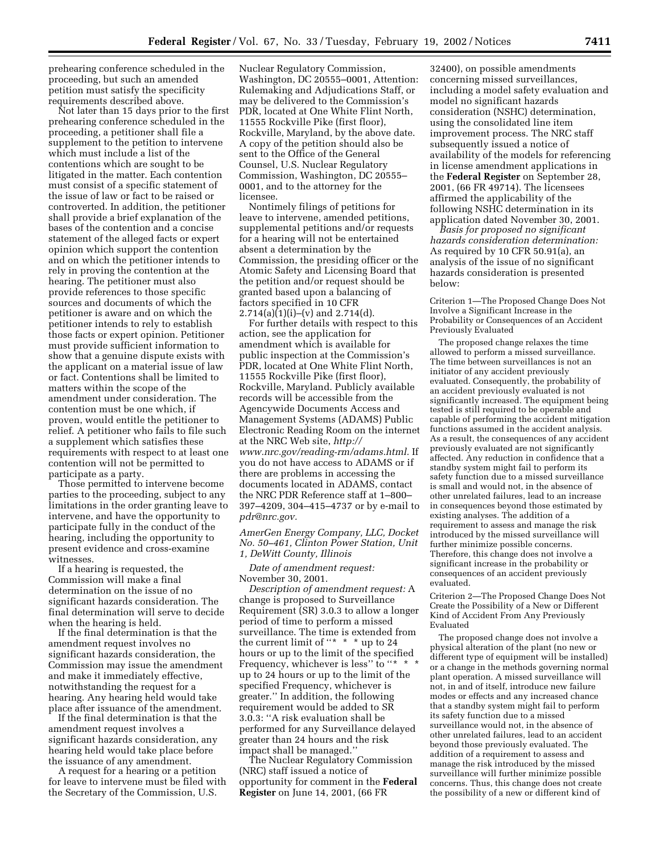prehearing conference scheduled in the proceeding, but such an amended petition must satisfy the specificity requirements described above.

Not later than 15 days prior to the first prehearing conference scheduled in the proceeding, a petitioner shall file a supplement to the petition to intervene which must include a list of the contentions which are sought to be litigated in the matter. Each contention must consist of a specific statement of the issue of law or fact to be raised or controverted. In addition, the petitioner shall provide a brief explanation of the bases of the contention and a concise statement of the alleged facts or expert opinion which support the contention and on which the petitioner intends to rely in proving the contention at the hearing. The petitioner must also provide references to those specific sources and documents of which the petitioner is aware and on which the petitioner intends to rely to establish those facts or expert opinion. Petitioner must provide sufficient information to show that a genuine dispute exists with the applicant on a material issue of law or fact. Contentions shall be limited to matters within the scope of the amendment under consideration. The contention must be one which, if proven, would entitle the petitioner to relief. A petitioner who fails to file such a supplement which satisfies these requirements with respect to at least one contention will not be permitted to participate as a party.

Those permitted to intervene become parties to the proceeding, subject to any limitations in the order granting leave to intervene, and have the opportunity to participate fully in the conduct of the hearing, including the opportunity to present evidence and cross-examine witnesses.

If a hearing is requested, the Commission will make a final determination on the issue of no significant hazards consideration. The final determination will serve to decide when the hearing is held.

If the final determination is that the amendment request involves no significant hazards consideration, the Commission may issue the amendment and make it immediately effective, notwithstanding the request for a hearing. Any hearing held would take place after issuance of the amendment.

If the final determination is that the amendment request involves a significant hazards consideration, any hearing held would take place before the issuance of any amendment.

A request for a hearing or a petition for leave to intervene must be filed with the Secretary of the Commission, U.S.

Nuclear Regulatory Commission, Washington, DC 20555–0001, Attention: Rulemaking and Adjudications Staff, or may be delivered to the Commission's PDR, located at One White Flint North, 11555 Rockville Pike (first floor), Rockville, Maryland, by the above date. A copy of the petition should also be sent to the Office of the General Counsel, U.S. Nuclear Regulatory Commission, Washington, DC 20555– 0001, and to the attorney for the licensee.

Nontimely filings of petitions for leave to intervene, amended petitions, supplemental petitions and/or requests for a hearing will not be entertained absent a determination by the Commission, the presiding officer or the Atomic Safety and Licensing Board that the petition and/or request should be granted based upon a balancing of factors specified in 10 CFR  $2.714(a)(1)(i)–(v)$  and  $2.714(d)$ .

For further details with respect to this action, see the application for amendment which is available for public inspection at the Commission's PDR, located at One White Flint North, 11555 Rockville Pike (first floor), Rockville, Maryland. Publicly available records will be accessible from the Agencywide Documents Access and Management Systems (ADAMS) Public Electronic Reading Room on the internet at the NRC Web site, *http:// www.nrc.gov/reading-rm/adams.html.* If you do not have access to ADAMS or if there are problems in accessing the documents located in ADAMS, contact the NRC PDR Reference staff at 1–800– 397–4209, 304–415–4737 or by e-mail to *pdr@nrc.gov.*

*AmerGen Energy Company, LLC, Docket No. 50–461, Clinton Power Station, Unit 1, DeWitt County, Illinois*

*Date of amendment request:* November 30, 2001.

*Description of amendment request:* A change is proposed to Surveillance Requirement (SR) 3.0.3 to allow a longer period of time to perform a missed surveillance. The time is extended from the current limit of " $*$  \* \* up to 24 hours or up to the limit of the specified Frequency, whichever is less" to "\* \* \* up to 24 hours or up to the limit of the specified Frequency, whichever is greater.'' In addition, the following requirement would be added to SR 3.0.3: ''A risk evaluation shall be performed for any Surveillance delayed greater than 24 hours and the risk impact shall be managed.''

The Nuclear Regulatory Commission (NRC) staff issued a notice of opportunity for comment in the **Federal Register** on June 14, 2001, (66 FR

32400), on possible amendments concerning missed surveillances, including a model safety evaluation and model no significant hazards consideration (NSHC) determination, using the consolidated line item improvement process. The NRC staff subsequently issued a notice of availability of the models for referencing in license amendment applications in the **Federal Register** on September 28, 2001, (66 FR 49714). The licensees affirmed the applicability of the following NSHC determination in its application dated November 30, 2001.

*Basis for proposed no significant hazards consideration determination:* As required by 10 CFR 50.91(a), an analysis of the issue of no significant hazards consideration is presented below:

Criterion 1—The Proposed Change Does Not Involve a Significant Increase in the Probability or Consequences of an Accident Previously Evaluated

The proposed change relaxes the time allowed to perform a missed surveillance. The time between surveillances is not an initiator of any accident previously evaluated. Consequently, the probability of an accident previously evaluated is not significantly increased. The equipment being tested is still required to be operable and capable of performing the accident mitigation functions assumed in the accident analysis. As a result, the consequences of any accident previously evaluated are not significantly affected. Any reduction in confidence that a standby system might fail to perform its safety function due to a missed surveillance is small and would not, in the absence of other unrelated failures, lead to an increase in consequences beyond those estimated by existing analyses. The addition of a requirement to assess and manage the risk introduced by the missed surveillance will further minimize possible concerns. Therefore, this change does not involve a significant increase in the probability or consequences of an accident previously evaluated.

Criterion 2—The Proposed Change Does Not Create the Possibility of a New or Different Kind of Accident From Any Previously Evaluated

The proposed change does not involve a physical alteration of the plant (no new or different type of equipment will be installed) or a change in the methods governing normal plant operation. A missed surveillance will not, in and of itself, introduce new failure modes or effects and any increased chance that a standby system might fail to perform its safety function due to a missed surveillance would not, in the absence of other unrelated failures, lead to an accident beyond those previously evaluated. The addition of a requirement to assess and manage the risk introduced by the missed surveillance will further minimize possible concerns. Thus, this change does not create the possibility of a new or different kind of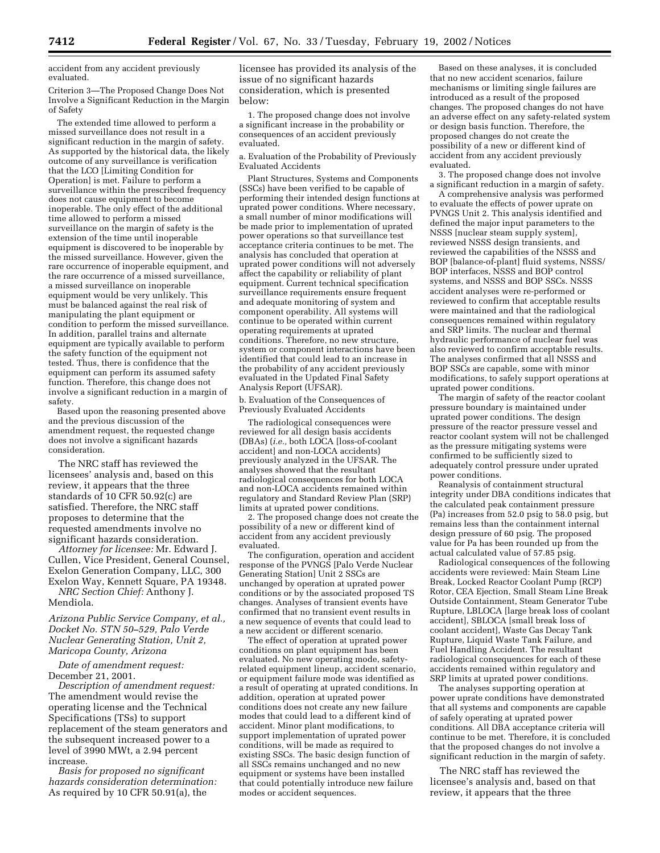accident from any accident previously evaluated.

Criterion 3—The Proposed Change Does Not Involve a Significant Reduction in the Margin of Safety

The extended time allowed to perform a missed surveillance does not result in a significant reduction in the margin of safety. As supported by the historical data, the likely outcome of any surveillance is verification that the LCO [Limiting Condition for Operation] is met. Failure to perform a surveillance within the prescribed frequency does not cause equipment to become inoperable. The only effect of the additional time allowed to perform a missed surveillance on the margin of safety is the extension of the time until inoperable equipment is discovered to be inoperable by the missed surveillance. However, given the rare occurrence of inoperable equipment, and the rare occurrence of a missed surveillance, a missed surveillance on inoperable equipment would be very unlikely. This must be balanced against the real risk of manipulating the plant equipment or condition to perform the missed surveillance. In addition, parallel trains and alternate equipment are typically available to perform the safety function of the equipment not tested. Thus, there is confidence that the equipment can perform its assumed safety function. Therefore, this change does not involve a significant reduction in a margin of safety.

Based upon the reasoning presented above and the previous discussion of the amendment request, the requested change does not involve a significant hazards consideration.

The NRC staff has reviewed the licensees' analysis and, based on this review, it appears that the three standards of 10 CFR 50.92(c) are satisfied. Therefore, the NRC staff proposes to determine that the requested amendments involve no significant hazards consideration.

*Attorney for licensee:* Mr. Edward J. Cullen, Vice President, General Counsel, Exelon Generation Company, LLC, 300 Exelon Way, Kennett Square, PA 19348.

*NRC Section Chief:* Anthony J. Mendiola.

*Arizona Public Service Company, et al., Docket No. STN 50–529, Palo Verde Nuclear Generating Station, Unit 2, Maricopa County, Arizona*

*Date of amendment request:* December 21, 2001.

*Description of amendment request:* The amendment would revise the operating license and the Technical Specifications (TSs) to support replacement of the steam generators and the subsequent increased power to a level of 3990 MWt, a 2.94 percent increase.

*Basis for proposed no significant hazards consideration determination:* As required by 10 CFR 50.91(a), the

licensee has provided its analysis of the issue of no significant hazards consideration, which is presented below:

1. The proposed change does not involve a significant increase in the probability or consequences of an accident previously evaluated.

a. Evaluation of the Probability of Previously Evaluated Accidents

Plant Structures, Systems and Components (SSCs) have been verified to be capable of performing their intended design functions at uprated power conditions. Where necessary, a small number of minor modifications will be made prior to implementation of uprated power operations so that surveillance test acceptance criteria continues to be met. The analysis has concluded that operation at uprated power conditions will not adversely affect the capability or reliability of plant equipment. Current technical specification surveillance requirements ensure frequent and adequate monitoring of system and component operability. All systems will continue to be operated within current operating requirements at uprated conditions. Therefore, no new structure, system or component interactions have been identified that could lead to an increase in the probability of any accident previously evaluated in the Updated Final Safety Analysis Report (UFSAR).

b. Evaluation of the Consequences of Previously Evaluated Accidents

The radiological consequences were reviewed for all design basis accidents (DBAs) (*i.e.,* both LOCA [loss-of-coolant accident] and non-LOCA accidents) previously analyzed in the UFSAR. The analyses showed that the resultant radiological consequences for both LOCA and non-LOCA accidents remained within regulatory and Standard Review Plan (SRP) limits at uprated power conditions.

2. The proposed change does not create the possibility of a new or different kind of accident from any accident previously evaluated.

The configuration, operation and accident response of the PVNGS [Palo Verde Nuclear Generating Station] Unit 2 SSCs are unchanged by operation at uprated power conditions or by the associated proposed TS changes. Analyses of transient events have confirmed that no transient event results in a new sequence of events that could lead to a new accident or different scenario.

The effect of operation at uprated power conditions on plant equipment has been evaluated. No new operating mode, safetyrelated equipment lineup, accident scenario, or equipment failure mode was identified as a result of operating at uprated conditions. In addition, operation at uprated power conditions does not create any new failure modes that could lead to a different kind of accident. Minor plant modifications, to support implementation of uprated power conditions, will be made as required to existing SSCs. The basic design function of all SSCs remains unchanged and no new equipment or systems have been installed that could potentially introduce new failure modes or accident sequences.

Based on these analyses, it is concluded that no new accident scenarios, failure mechanisms or limiting single failures are introduced as a result of the proposed changes. The proposed changes do not have an adverse effect on any safety-related system or design basis function. Therefore, the proposed changes do not create the possibility of a new or different kind of accident from any accident previously evaluated.

3. The proposed change does not involve a significant reduction in a margin of safety.

A comprehensive analysis was performed to evaluate the effects of power uprate on PVNGS Unit 2. This analysis identified and defined the major input parameters to the NSSS [nuclear steam supply system], reviewed NSSS design transients, and reviewed the capabilities of the NSSS and BOP [balance-of-plant] fluid systems, NSSS/ BOP interfaces, NSSS and BOP control systems, and NSSS and BOP SSCs. NSSS accident analyses were re-performed or reviewed to confirm that acceptable results were maintained and that the radiological consequences remained within regulatory and SRP limits. The nuclear and thermal hydraulic performance of nuclear fuel was also reviewed to confirm acceptable results. The analyses confirmed that all NSSS and BOP SSCs are capable, some with minor modifications, to safely support operations at uprated power conditions.

The margin of safety of the reactor coolant pressure boundary is maintained under uprated power conditions. The design pressure of the reactor pressure vessel and reactor coolant system will not be challenged as the pressure mitigating systems were confirmed to be sufficiently sized to adequately control pressure under uprated power conditions.

Reanalysis of containment structural integrity under DBA conditions indicates that the calculated peak containment pressure (Pa) increases from  $52.0$  psig to  $58.0$  psig, but remains less than the containment internal design pressure of 60 psig. The proposed value for Pa has been rounded up from the actual calculated value of 57.85 psig.

Radiological consequences of the following accidents were reviewed: Main Steam Line Break, Locked Reactor Coolant Pump (RCP) Rotor, CEA Ejection, Small Steam Line Break Outside Containment, Steam Generator Tube Rupture, LBLOCA [large break loss of coolant accident], SBLOCA [small break loss of coolant accident], Waste Gas Decay Tank Rupture, Liquid Waste Tank Failure, and Fuel Handling Accident. The resultant radiological consequences for each of these accidents remained within regulatory and SRP limits at uprated power conditions.

The analyses supporting operation at power uprate conditions have demonstrated that all systems and components are capable of safely operating at uprated power conditions. All DBA acceptance criteria will continue to be met. Therefore, it is concluded that the proposed changes do not involve a significant reduction in the margin of safety.

The NRC staff has reviewed the licensee's analysis and, based on that review, it appears that the three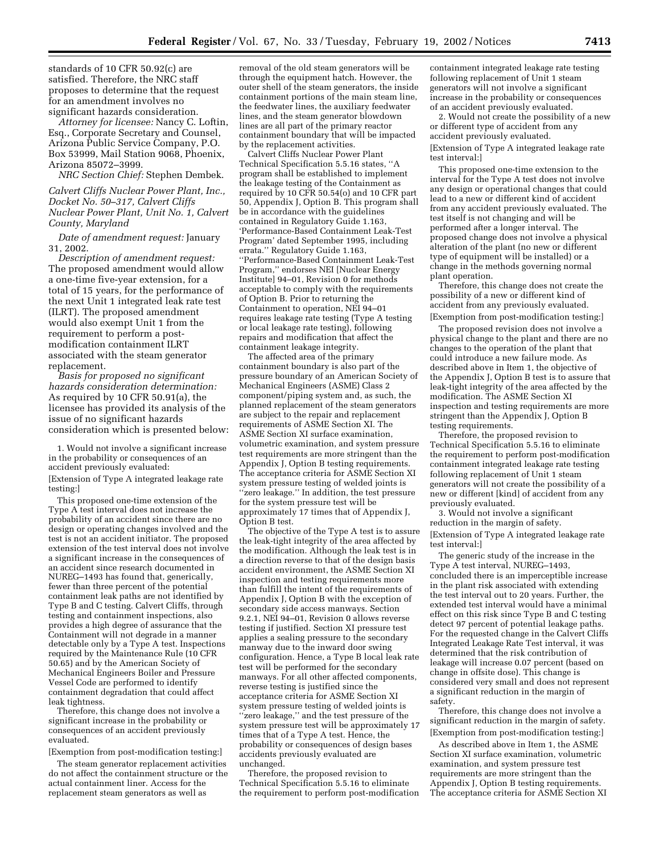standards of 10 CFR 50.92(c) are satisfied. Therefore, the NRC staff proposes to determine that the request for an amendment involves no significant hazards consideration.

*Attorney for licensee:* Nancy C. Loftin, Esq., Corporate Secretary and Counsel, Arizona Public Service Company, P.O. Box 53999, Mail Station 9068, Phoenix, Arizona 85072–3999.

*NRC Section Chief:* Stephen Dembek.

*Calvert Cliffs Nuclear Power Plant, Inc., Docket No. 50–317, Calvert Cliffs Nuclear Power Plant, Unit No. 1, Calvert County, Maryland*

*Date of amendment request:* January 31, 2002.

*Description of amendment request:* The proposed amendment would allow a one-time five-year extension, for a total of 15 years, for the performance of the next Unit 1 integrated leak rate test (ILRT). The proposed amendment would also exempt Unit 1 from the requirement to perform a postmodification containment ILRT associated with the steam generator replacement.

*Basis for proposed no significant hazards consideration determination:* As required by 10 CFR 50.91(a), the licensee has provided its analysis of the issue of no significant hazards consideration which is presented below:

1. Would not involve a significant increase in the probability or consequences of an accident previously evaluated: [Extension of Type A integrated leakage rate testing:]

This proposed one-time extension of the Type A test interval does not increase the probability of an accident since there are no design or operating changes involved and the test is not an accident initiator. The proposed extension of the test interval does not involve a significant increase in the consequences of an accident since research documented in NUREG–1493 has found that, generically, fewer than three percent of the potential containment leak paths are not identified by Type B and C testing. Calvert Cliffs, through testing and containment inspections, also provides a high degree of assurance that the Containment will not degrade in a manner detectable only by a Type A test. Inspections required by the Maintenance Rule (10 CFR 50.65) and by the American Society of Mechanical Engineers Boiler and Pressure Vessel Code are performed to identify containment degradation that could affect leak tightness.

Therefore, this change does not involve a significant increase in the probability or consequences of an accident previously evaluated.

[Exemption from post-modification testing:]

The steam generator replacement activities do not affect the containment structure or the actual containment liner. Access for the replacement steam generators as well as

removal of the old steam generators will be through the equipment hatch. However, the outer shell of the steam generators, the inside containment portions of the main steam line, the feedwater lines, the auxiliary feedwater lines, and the steam generator blowdown lines are all part of the primary reactor containment boundary that will be impacted by the replacement activities.

Calvert Cliffs Nuclear Power Plant Technical Specification 5.5.16 states, ''A program shall be established to implement the leakage testing of the Containment as required by 10 CFR 50.54(o) and 10 CFR part 50, Appendix J, Option B. This program shall be in accordance with the guidelines contained in Regulatory Guide 1.163, 'Performance-Based Containment Leak-Test Program' dated September 1995, including errata.'' Regulatory Guide 1.163, ''Performance-Based Containment Leak-Test Program,'' endorses NEI [Nuclear Energy Institute] 94–01, Revision 0 for methods acceptable to comply with the requirements of Option B. Prior to returning the Containment to operation, NEI 94–01 requires leakage rate testing (Type A testing or local leakage rate testing), following repairs and modification that affect the containment leakage integrity.

The affected area of the primary containment boundary is also part of the pressure boundary of an American Society of Mechanical Engineers (ASME) Class 2 component/piping system and, as such, the planned replacement of the steam generators are subject to the repair and replacement requirements of ASME Section XI. The ASME Section XI surface examination, volumetric examination, and system pressure test requirements are more stringent than the Appendix J, Option B testing requirements. The acceptance criteria for ASME Section XI system pressure testing of welded joints is ''zero leakage.'' In addition, the test pressure for the system pressure test will be approximately 17 times that of Appendix J, Option B test.

The objective of the Type A test is to assure the leak-tight integrity of the area affected by the modification. Although the leak test is in a direction reverse to that of the design basis accident environment, the ASME Section XI inspection and testing requirements more than fulfill the intent of the requirements of Appendix J, Option B with the exception of secondary side access manways. Section 9.2.1, NEI 94–01, Revision 0 allows reverse testing if justified. Section XI pressure test applies a sealing pressure to the secondary manway due to the inward door swing configuration. Hence, a Type B local leak rate test will be performed for the secondary manways. For all other affected components, reverse testing is justified since the acceptance criteria for ASME Section XI system pressure testing of welded joints is ''zero leakage,'' and the test pressure of the system pressure test will be approximately 17 times that of a Type A test. Hence, the probability or consequences of design bases accidents previously evaluated are unchanged.

Therefore, the proposed revision to Technical Specification 5.5.16 to eliminate the requirement to perform post-modification

containment integrated leakage rate testing following replacement of Unit 1 steam generators will not involve a significant increase in the probability or consequences of an accident previously evaluated.

2. Would not create the possibility of a new or different type of accident from any accident previously evaluated.

[Extension of Type A integrated leakage rate test interval:]

This proposed one-time extension to the interval for the Type A test does not involve any design or operational changes that could lead to a new or different kind of accident from any accident previously evaluated. The test itself is not changing and will be performed after a longer interval. The proposed change does not involve a physical alteration of the plant (no new or different type of equipment will be installed) or a change in the methods governing normal plant operation.

Therefore, this change does not create the possibility of a new or different kind of accident from any previously evaluated.

[Exemption from post-modification testing:]

The proposed revision does not involve a physical change to the plant and there are no changes to the operation of the plant that could introduce a new failure mode. As described above in Item 1, the objective of the Appendix J, Option B test is to assure that leak-tight integrity of the area affected by the modification. The ASME Section XI inspection and testing requirements are more stringent than the Appendix J, Option B testing requirements.

Therefore, the proposed revision to Technical Specification 5.5.16 to eliminate the requirement to perform post-modification containment integrated leakage rate testing following replacement of Unit 1 steam generators will not create the possibility of a new or different [kind] of accident from any previously evaluated.

3. Would not involve a significant reduction in the margin of safety. [Extension of Type A integrated leakage rate test interval:]

The generic study of the increase in the Type A test interval, NUREG–1493, concluded there is an imperceptible increase in the plant risk associated with extending the test interval out to 20 years. Further, the extended test interval would have a minimal effect on this risk since Type B and C testing detect 97 percent of potential leakage paths. For the requested change in the Calvert Cliffs Integrated Leakage Rate Test interval, it was determined that the risk contribution of leakage will increase 0.07 percent (based on change in offsite dose). This change is considered very small and does not represent a significant reduction in the margin of safety.

Therefore, this change does not involve a significant reduction in the margin of safety. [Exemption from post-modification testing:]

As described above in Item 1, the ASME Section XI surface examination, volumetric examination, and system pressure test requirements are more stringent than the Appendix J, Option B testing requirements. The acceptance criteria for ASME Section XI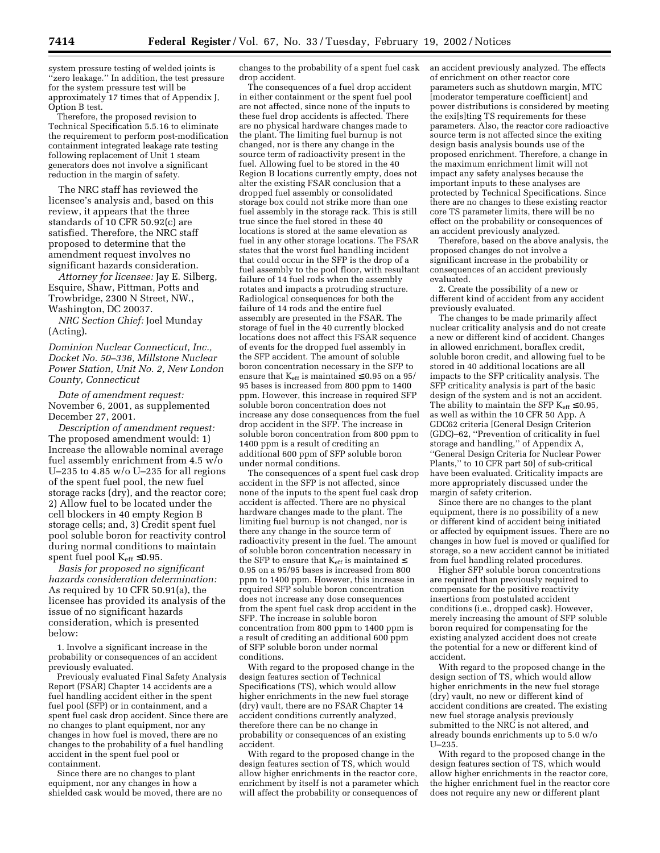system pressure testing of welded joints is ''zero leakage.'' In addition, the test pressure for the system pressure test will be approximately 17 times that of Appendix J, Option B test.

Therefore, the proposed revision to Technical Specification 5.5.16 to eliminate the requirement to perform post-modification containment integrated leakage rate testing following replacement of Unit 1 steam generators does not involve a significant reduction in the margin of safety.

The NRC staff has reviewed the licensee's analysis and, based on this review, it appears that the three standards of 10 CFR 50.92(c) are satisfied. Therefore, the NRC staff proposed to determine that the amendment request involves no significant hazards consideration.

*Attorney for licensee:* Jay E. Silberg, Esquire, Shaw, Pittman, Potts and Trowbridge, 2300 N Street, NW., Washington, DC 20037.

*NRC Section Chief:* Joel Munday (Acting).

*Dominion Nuclear Connecticut, Inc., Docket No. 50–336, Millstone Nuclear Power Station, Unit No. 2, New London County, Connecticut*

*Date of amendment request:* November 6, 2001, as supplemented December 27, 2001.

*Description of amendment request:* The proposed amendment would: 1) Increase the allowable nominal average fuel assembly enrichment from 4.5 w/o U–235 to 4.85  $w$ /o U–235 for all regions of the spent fuel pool, the new fuel storage racks (dry), and the reactor core; 2) Allow fuel to be located under the cell blockers in 40 empty Region B storage cells; and, 3) Credit spent fuel pool soluble boron for reactivity control during normal conditions to maintain spent fuel pool  $K_{\rm eff} \leq 0.95$ .

*Basis for proposed no significant hazards consideration determination:* As required by 10 CFR 50.91(a), the licensee has provided its analysis of the issue of no significant hazards consideration, which is presented below:

1. Involve a significant increase in the probability or consequences of an accident previously evaluated.

Previously evaluated Final Safety Analysis Report (FSAR) Chapter 14 accidents are a fuel handling accident either in the spent fuel pool (SFP) or in containment, and a spent fuel cask drop accident. Since there are no changes to plant equipment, nor any changes in how fuel is moved, there are no changes to the probability of a fuel handling accident in the spent fuel pool or containment.

Since there are no changes to plant equipment, nor any changes in how a shielded cask would be moved, there are no changes to the probability of a spent fuel cask drop accident.

The consequences of a fuel drop accident in either containment or the spent fuel pool are not affected, since none of the inputs to these fuel drop accidents is affected. There are no physical hardware changes made to the plant. The limiting fuel burnup is not changed, nor is there any change in the source term of radioactivity present in the fuel. Allowing fuel to be stored in the 40 Region B locations currently empty, does not alter the existing FSAR conclusion that a dropped fuel assembly or consolidated storage box could not strike more than one fuel assembly in the storage rack. This is still true since the fuel stored in these 40 locations is stored at the same elevation as fuel in any other storage locations. The FSAR states that the worst fuel handling incident that could occur in the SFP is the drop of a fuel assembly to the pool floor, with resultant failure of 14 fuel rods when the assembly rotates and impacts a protruding structure. Radiological consequences for both the failure of 14 rods and the entire fuel assembly are presented in the FSAR. The storage of fuel in the 40 currently blocked locations does not affect this FSAR sequence of events for the dropped fuel assembly in the SFP accident. The amount of soluble boron concentration necessary in the SFP to ensure that  $K_{\rm eff}$  is maintained  $\leq 0.95$  on a 95/ 95 bases is increased from 800 ppm to 1400 ppm. However, this increase in required SFP soluble boron concentration does not increase any dose consequences from the fuel drop accident in the SFP. The increase in soluble boron concentration from 800 ppm to 1400 ppm is a result of crediting an additional 600 ppm of SFP soluble boron under normal conditions.

The consequences of a spent fuel cask drop accident in the SFP is not affected, since none of the inputs to the spent fuel cask drop accident is affected. There are no physical hardware changes made to the plant. The limiting fuel burnup is not changed, nor is there any change in the source term of radioactivity present in the fuel. The amount of soluble boron concentration necessary in the SFP to ensure that  $K_{\text{eff}}$  is maintained  $\leq$ 0.95 on a 95/95 bases is increased from 800 ppm to 1400 ppm. However, this increase in required SFP soluble boron concentration does not increase any dose consequences from the spent fuel cask drop accident in the SFP. The increase in soluble boron concentration from 800 ppm to 1400 ppm is a result of crediting an additional 600 ppm of SFP soluble boron under normal conditions.

With regard to the proposed change in the design features section of Technical Specifications (TS), which would allow higher enrichments in the new fuel storage (dry) vault, there are no FSAR Chapter 14 accident conditions currently analyzed, therefore there can be no change in probability or consequences of an existing accident.

With regard to the proposed change in the design features section of TS, which would allow higher enrichments in the reactor core, enrichment by itself is not a parameter which will affect the probability or consequences of

an accident previously analyzed. The effects of enrichment on other reactor core parameters such as shutdown margin, MTC [moderator temperature coefficient] and power distributions is considered by meeting the exi[s]ting TS requirements for these parameters. Also, the reactor core radioactive source term is not affected since the exiting design basis analysis bounds use of the proposed enrichment. Therefore, a change in the maximum enrichment limit will not impact any safety analyses because the important inputs to these analyses are protected by Technical Specifications. Since there are no changes to these existing reactor core TS parameter limits, there will be no effect on the probability or consequences of an accident previously analyzed.

Therefore, based on the above analysis, the proposed changes do not involve a significant increase in the probability or consequences of an accident previously evaluated.

2. Create the possibility of a new or different kind of accident from any accident previously evaluated.

The changes to be made primarily affect nuclear criticality analysis and do not create a new or different kind of accident. Changes in allowed enrichment, boraflex credit, soluble boron credit, and allowing fuel to be stored in 40 additional locations are all impacts to the SFP criticality analysis. The SFP criticality analysis is part of the basic design of the system and is not an accident. The ability to maintain the SFP  $K_{\text{eff}} \leq 0.95$ , as well as within the 10 CFR 50 App. A GDC62 criteria [General Design Criterion (GDC)–62, ''Prevention of criticality in fuel storage and handling,'' of Appendix A, ''General Design Criteria for Nuclear Power Plants,'' to 10 CFR part 50] of sub-critical have been evaluated. Criticality impacts are more appropriately discussed under the margin of safety criterion.

Since there are no changes to the plant equipment, there is no possibility of a new or different kind of accident being initiated or affected by equipment issues. There are no changes in how fuel is moved or qualified for storage, so a new accident cannot be initiated from fuel handling related procedures.

Higher SFP soluble boron concentrations are required than previously required to compensate for the positive reactivity insertions from postulated accident conditions (i.e., dropped cask). However, merely increasing the amount of SFP soluble boron required for compensating for the existing analyzed accident does not create the potential for a new or different kind of accident.

With regard to the proposed change in the design section of TS, which would allow higher enrichments in the new fuel storage (dry) vault, no new or different kind of accident conditions are created. The existing new fuel storage analysis previously submitted to the NRC is not altered, and already bounds enrichments up to 5.0 w/o U–235.

With regard to the proposed change in the design features section of TS, which would allow higher enrichments in the reactor core, the higher enrichment fuel in the reactor core does not require any new or different plant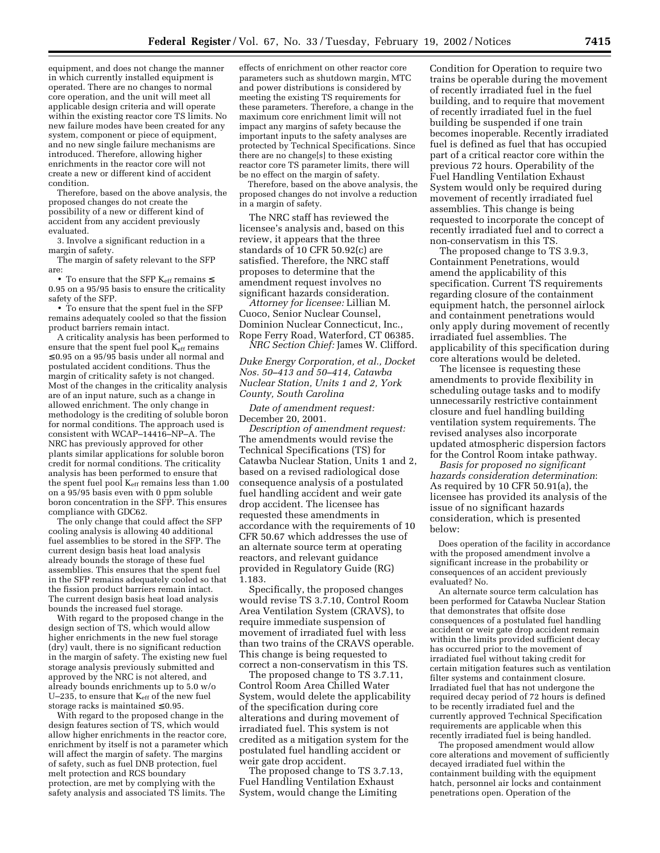equipment, and does not change the manner in which currently installed equipment is operated. There are no changes to normal core operation, and the unit will meet all applicable design criteria and will operate within the existing reactor core TS limits. No new failure modes have been created for any system, component or piece of equipment, and no new single failure mechanisms are introduced. Therefore, allowing higher enrichments in the reactor core will not create a new or different kind of accident condition.

Therefore, based on the above analysis, the proposed changes do not create the possibility of a new or different kind of accident from any accident previously evaluated.

3. Involve a significant reduction in a margin of safety.

The margin of safety relevant to the SFP are:

• To ensure that the SFP  $K_{\text{eff}}$  remains  $\leq$ 0.95 on a 95/95 basis to ensure the criticality safety of the SFP.

• To ensure that the spent fuel in the SFP remains adequately cooled so that the fission product barriers remain intact.

A criticality analysis has been performed to ensure that the spent fuel pool Keff remains ≤ 0.95 on a 95/95 basis under all normal and postulated accident conditions. Thus the margin of criticality safety is not changed. Most of the changes in the criticality analysis are of an input nature, such as a change in allowed enrichment. The only change in methodology is the crediting of soluble boron for normal conditions. The approach used is consistent with WCAP–14416–NP–A. The NRC has previously approved for other plants similar applications for soluble boron credit for normal conditions. The criticality analysis has been performed to ensure that the spent fuel pool Keff remains less than 1.00 on a 95/95 basis even with 0 ppm soluble boron concentration in the SFP. This ensures compliance with GDC62.

The only change that could affect the SFP cooling analysis is allowing 40 additional fuel assemblies to be stored in the SFP. The current design basis heat load analysis already bounds the storage of these fuel assemblies. This ensures that the spent fuel in the SFP remains adequately cooled so that the fission product barriers remain intact. The current design basis heat load analysis bounds the increased fuel storage.

With regard to the proposed change in the design section of TS, which would allow higher enrichments in the new fuel storage (dry) vault, there is no significant reduction in the margin of safety. The existing new fuel storage analysis previously submitted and approved by the NRC is not altered, and already bounds enrichments up to 5.0 w/o U–235, to ensure that Keff of the new fuel storage racks is maintained  $\leq 0.95$ .

With regard to the proposed change in the design features section of TS, which would allow higher enrichments in the reactor core, enrichment by itself is not a parameter which will affect the margin of safety. The margins of safety, such as fuel DNB protection, fuel melt protection and RCS boundary protection, are met by complying with the safety analysis and associated TS limits. The

effects of enrichment on other reactor core parameters such as shutdown margin, MTC and power distributions is considered by meeting the existing TS requirements for these parameters. Therefore, a change in the maximum core enrichment limit will not impact any margins of safety because the important inputs to the safety analyses are protected by Technical Specifications. Since there are no change[s] to these existing reactor core TS parameter limits, there will be no effect on the margin of safety.

Therefore, based on the above analysis, the proposed changes do not involve a reduction in a margin of safety.

The NRC staff has reviewed the licensee's analysis and, based on this review, it appears that the three standards of 10 CFR 50.92(c) are satisfied. Therefore, the NRC staff proposes to determine that the amendment request involves no significant hazards consideration.

*Attorney for licensee:* Lillian M. Cuoco, Senior Nuclear Counsel, Dominion Nuclear Connecticut, Inc., Rope Ferry Road, Waterford, CT 06385. *NRC Section Chief:* James W. Clifford.

*Duke Energy Corporation, et al., Docket Nos. 50–413 and 50–414, Catawba Nuclear Station, Units 1 and 2, York County, South Carolina*

*Date of amendment request:* December 20, 2001.

*Description of amendment request:* The amendments would revise the Technical Specifications (TS) for Catawba Nuclear Station, Units 1 and 2, based on a revised radiological dose consequence analysis of a postulated fuel handling accident and weir gate drop accident. The licensee has requested these amendments in accordance with the requirements of 10 CFR 50.67 which addresses the use of an alternate source term at operating reactors, and relevant guidance provided in Regulatory Guide (RG) 1.183.

Specifically, the proposed changes would revise TS 3.7.10, Control Room Area Ventilation System (CRAVS), to require immediate suspension of movement of irradiated fuel with less than two trains of the CRAVS operable. This change is being requested to correct a non-conservatism in this TS.

The proposed change to TS 3.7.11, Control Room Area Chilled Water System, would delete the applicability of the specification during core alterations and during movement of irradiated fuel. This system is not credited as a mitigation system for the postulated fuel handling accident or weir gate drop accident.

The proposed change to TS 3.7.13, Fuel Handling Ventilation Exhaust System, would change the Limiting

Condition for Operation to require two trains be operable during the movement of recently irradiated fuel in the fuel building, and to require that movement of recently irradiated fuel in the fuel building be suspended if one train becomes inoperable. Recently irradiated fuel is defined as fuel that has occupied part of a critical reactor core within the previous 72 hours. Operability of the Fuel Handling Ventilation Exhaust System would only be required during movement of recently irradiated fuel assemblies. This change is being requested to incorporate the concept of recently irradiated fuel and to correct a non-conservatism in this TS.

The proposed change to TS 3.9.3, Containment Penetrations, would amend the applicability of this specification. Current TS requirements regarding closure of the containment equipment hatch, the personnel airlock and containment penetrations would only apply during movement of recently irradiated fuel assemblies. The applicability of this specification during core alterations would be deleted.

The licensee is requesting these amendments to provide flexibility in scheduling outage tasks and to modify unnecessarily restrictive containment closure and fuel handling building ventilation system requirements. The revised analyses also incorporate updated atmospheric dispersion factors for the Control Room intake pathway.

*Basis for proposed no significant hazards consideration determination*: As required by 10 CFR 50.91(a), the licensee has provided its analysis of the issue of no significant hazards consideration, which is presented below:

Does operation of the facility in accordance with the proposed amendment involve a significant increase in the probability or consequences of an accident previously evaluated? No.

An alternate source term calculation has been performed for Catawba Nuclear Station that demonstrates that offsite dose consequences of a postulated fuel handling accident or weir gate drop accident remain within the limits provided sufficient decay has occurred prior to the movement of irradiated fuel without taking credit for certain mitigation features such as ventilation filter systems and containment closure. Irradiated fuel that has not undergone the required decay period of 72 hours is defined to be recently irradiated fuel and the currently approved Technical Specification requirements are applicable when this recently irradiated fuel is being handled.

The proposed amendment would allow core alterations and movement of sufficiently decayed irradiated fuel within the containment building with the equipment hatch, personnel air locks and containment penetrations open. Operation of the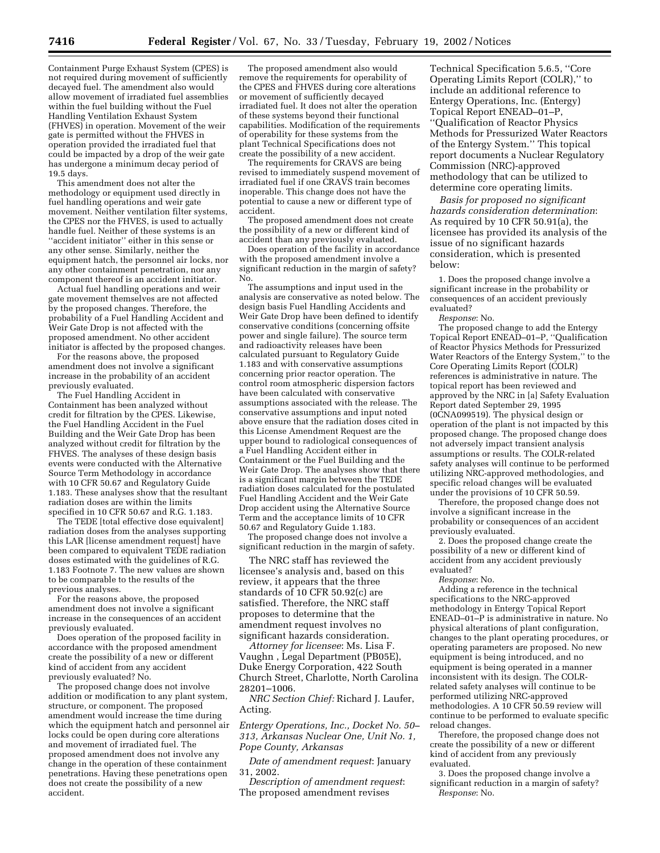Containment Purge Exhaust System (CPES) is not required during movement of sufficiently decayed fuel. The amendment also would allow movement of irradiated fuel assemblies within the fuel building without the Fuel Handling Ventilation Exhaust System (FHVES) in operation. Movement of the weir gate is permitted without the FHVES in operation provided the irradiated fuel that could be impacted by a drop of the weir gate has undergone a minimum decay period of 19.5 days.

This amendment does not alter the methodology or equipment used directly in fuel handling operations and weir gate movement. Neither ventilation filter systems, the CPES nor the FHVES, is used to actually handle fuel. Neither of these systems is an ''accident initiator'' either in this sense or any other sense. Similarly, neither the equipment hatch, the personnel air locks, nor any other containment penetration, nor any component thereof is an accident initiator.

Actual fuel handling operations and weir gate movement themselves are not affected by the proposed changes. Therefore, the probability of a Fuel Handling Accident and Weir Gate Drop is not affected with the proposed amendment. No other accident initiator is affected by the proposed changes.

For the reasons above, the proposed amendment does not involve a significant increase in the probability of an accident previously evaluated.

The Fuel Handling Accident in Containment has been analyzed without credit for filtration by the CPES. Likewise, the Fuel Handling Accident in the Fuel Building and the Weir Gate Drop has been analyzed without credit for filtration by the FHVES. The analyses of these design basis events were conducted with the Alternative Source Term Methodology in accordance with 10 CFR 50.67 and Regulatory Guide 1.183. These analyses show that the resultant radiation doses are within the limits specified in 10 CFR 50.67 and R.G. 1.183.

The TEDE [total effective dose equivalent] radiation doses from the analyses supporting this LAR [license amendment request] have been compared to equivalent TEDE radiation doses estimated with the guidelines of R.G. 1.183 Footnote 7. The new values are shown to be comparable to the results of the previous analyses.

For the reasons above, the proposed amendment does not involve a significant increase in the consequences of an accident previously evaluated.

Does operation of the proposed facility in accordance with the proposed amendment create the possibility of a new or different kind of accident from any accident previously evaluated? No.

The proposed change does not involve addition or modification to any plant system, structure, or component. The proposed amendment would increase the time during which the equipment hatch and personnel air locks could be open during core alterations and movement of irradiated fuel. The proposed amendment does not involve any change in the operation of these containment penetrations. Having these penetrations open does not create the possibility of a new accident.

The proposed amendment also would remove the requirements for operability of the CPES and FHVES during core alterations or movement of sufficiently decayed irradiated fuel. It does not alter the operation of these systems beyond their functional capabilities. Modification of the requirements of operability for these systems from the plant Technical Specifications does not create the possibility of a new accident.

The requirements for CRAVS are being revised to immediately suspend movement of irradiated fuel if one CRAVS train becomes inoperable. This change does not have the potential to cause a new or different type of accident.

The proposed amendment does not create the possibility of a new or different kind of accident than any previously evaluated.

Does operation of the facility in accordance with the proposed amendment involve a significant reduction in the margin of safety? No.

The assumptions and input used in the analysis are conservative as noted below. The design basis Fuel Handling Accidents and Weir Gate Drop have been defined to identify conservative conditions (concerning offsite power and single failure). The source term and radioactivity releases have been calculated pursuant to Regulatory Guide 1.183 and with conservative assumptions concerning prior reactor operation. The control room atmospheric dispersion factors have been calculated with conservative assumptions associated with the release. The conservative assumptions and input noted above ensure that the radiation doses cited in this License Amendment Request are the upper bound to radiological consequences of a Fuel Handling Accident either in Containment or the Fuel Building and the Weir Gate Drop. The analyses show that there is a significant margin between the TEDE radiation doses calculated for the postulated Fuel Handling Accident and the Weir Gate Drop accident using the Alternative Source Term and the acceptance limits of 10 CFR 50.67 and Regulatory Guide 1.183.

The proposed change does not involve a significant reduction in the margin of safety.

The NRC staff has reviewed the licensee's analysis and, based on this review, it appears that the three standards of 10 CFR 50.92(c) are satisfied. Therefore, the NRC staff proposes to determine that the amendment request involves no significant hazards consideration.

*Attorney for licensee*: Ms. Lisa F. Vaughn , Legal Department (PB05E), Duke Energy Corporation, 422 South Church Street, Charlotte, North Carolina 28201–1006.

*NRC Section Chief:* Richard J. Laufer, Acting.

*Entergy Operations, Inc., Docket No. 50– 313, Arkansas Nuclear One, Unit No. 1, Pope County, Arkansas*

*Date of amendment request*: January 31, 2002.

*Description of amendment request*: The proposed amendment revises

Technical Specification 5.6.5, ''Core Operating Limits Report (COLR),'' to include an additional reference to Entergy Operations, Inc. (Entergy) Topical Report ENEAD–01–P, ''Qualification of Reactor Physics Methods for Pressurized Water Reactors of the Entergy System.'' This topical report documents a Nuclear Regulatory Commission (NRC)-approved methodology that can be utilized to determine core operating limits.

*Basis for proposed no significant hazards consideration determination*: As required by 10 CFR 50.91(a), the licensee has provided its analysis of the issue of no significant hazards consideration, which is presented below:

1. Does the proposed change involve a significant increase in the probability or consequences of an accident previously evaluated?

*Response*: No.

The proposed change to add the Entergy Topical Report ENEAD–01–P, ''Qualification of Reactor Physics Methods for Pressurized Water Reactors of the Entergy System,'' to the Core Operating Limits Report (COLR) references is administrative in nature. The topical report has been reviewed and approved by the NRC in [a] Safety Evaluation Report dated September 29, 1995 (0CNA099519). The physical design or operation of the plant is not impacted by this proposed change. The proposed change does not adversely impact transient analysis assumptions or results. The COLR-related safety analyses will continue to be performed utilizing NRC-approved methodologies, and specific reload changes will be evaluated under the provisions of 10 CFR 50.59.

Therefore, the proposed change does not involve a significant increase in the probability or consequences of an accident previously evaluated.

2. Does the proposed change create the possibility of a new or different kind of accident from any accident previously evaluated?

*Response*: No.

Adding a reference in the technical specifications to the NRC-approved methodology in Entergy Topical Report ENEAD–01–P is administrative in nature. No physical alterations of plant configuration, changes to the plant operating procedures, or operating parameters are proposed. No new equipment is being introduced, and no equipment is being operated in a manner inconsistent with its design. The COLRrelated safety analyses will continue to be performed utilizing NRC-approved methodologies. A 10 CFR 50.59 review will continue to be performed to evaluate specific reload changes.

Therefore, the proposed change does not create the possibility of a new or different kind of accident from any previously evaluated.

3. Does the proposed change involve a significant reduction in a margin of safety? *Response*: No.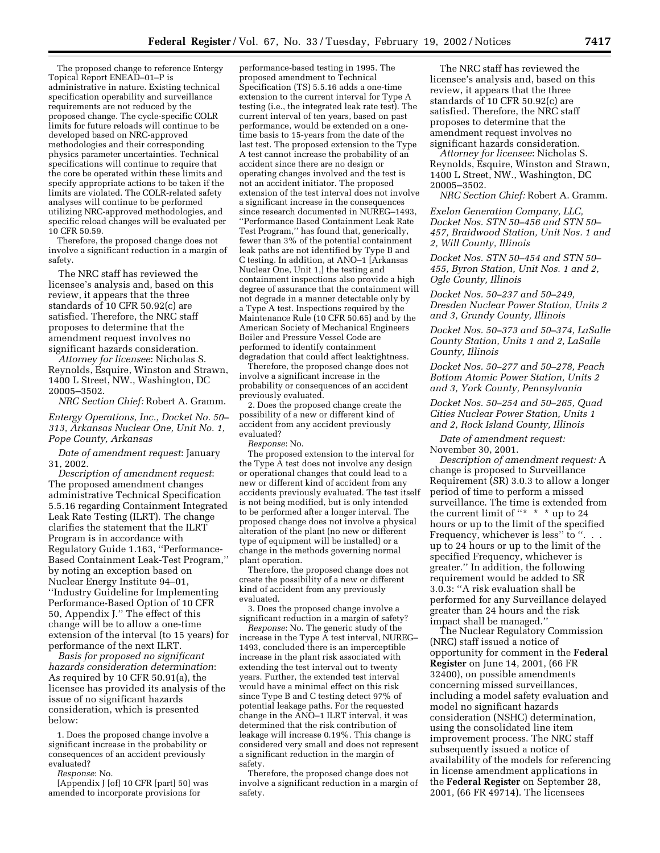The proposed change to reference Entergy Topical Report ENEAD–01–P is administrative in nature. Existing technical specification operability and surveillance requirements are not reduced by the proposed change. The cycle-specific COLR limits for future reloads will continue to be developed based on NRC-approved methodologies and their corresponding physics parameter uncertainties. Technical specifications will continue to require that the core be operated within these limits and specify appropriate actions to be taken if the limits are violated. The COLR-related safety analyses will continue to be performed utilizing NRC-approved methodologies, and specific reload changes will be evaluated per 10 CFR 50.59.

Therefore, the proposed change does not involve a significant reduction in a margin of safety.

The NRC staff has reviewed the licensee's analysis and, based on this review, it appears that the three standards of 10 CFR 50.92(c) are satisfied. Therefore, the NRC staff proposes to determine that the amendment request involves no significant hazards consideration.

*Attorney for licensee*: Nicholas S. Reynolds, Esquire, Winston and Strawn, 1400 L Street, NW., Washington, DC 20005–3502.

*NRC Section Chief:* Robert A. Gramm.

*Entergy Operations, Inc., Docket No. 50– 313, Arkansas Nuclear One, Unit No. 1, Pope County, Arkansas*

*Date of amendment request*: January 31, 2002.

*Description of amendment request*: The proposed amendment changes administrative Technical Specification 5.5.16 regarding Containment Integrated Leak Rate Testing (ILRT). The change clarifies the statement that the ILRT Program is in accordance with Regulatory Guide 1.163, ''Performance-Based Containment Leak-Test Program,'' by noting an exception based on Nuclear Energy Institute 94–01, ''Industry Guideline for Implementing Performance-Based Option of 10 CFR 50, Appendix J.'' The effect of this change will be to allow a one-time extension of the interval (to 15 years) for performance of the next ILRT.

*Basis for proposed no significant hazards consideration determination*: As required by 10 CFR 50.91(a), the licensee has provided its analysis of the issue of no significant hazards consideration, which is presented below:

1. Does the proposed change involve a significant increase in the probability or consequences of an accident previously evaluated?

*Response*: No.

[Appendix J [of] 10 CFR [part] 50] was amended to incorporate provisions for

performance-based testing in 1995. The proposed amendment to Technical Specification (TS) 5.5.16 adds a one-time extension to the current interval for Type A testing (i.e., the integrated leak rate test). The current interval of ten years, based on past performance, would be extended on a onetime basis to 15-years from the date of the last test. The proposed extension to the Type A test cannot increase the probability of an accident since there are no design or operating changes involved and the test is not an accident initiator. The proposed extension of the test interval does not involve a significant increase in the consequences since research documented in NUREG–1493, ''Performance Based Containment Leak Rate Test Program,'' has found that, generically, fewer than 3% of the potential containment leak paths are not identified by Type B and C testing. In addition, at ANO–1 [Arkansas Nuclear One, Unit 1,] the testing and containment inspections also provide a high degree of assurance that the containment will not degrade in a manner detectable only by a Type A test. Inspections required by the Maintenance Rule (10 CFR 50.65) and by the American Society of Mechanical Engineers Boiler and Pressure Vessel Code are performed to identify containment degradation that could affect leaktightness.

Therefore, the proposed change does not involve a significant increase in the probability or consequences of an accident previously evaluated.

2. Does the proposed change create the possibility of a new or different kind of accident from any accident previously evaluated?

*Response*: No.

The proposed extension to the interval for the Type A test does not involve any design or operational changes that could lead to a new or different kind of accident from any accidents previously evaluated. The test itself is not being modified, but is only intended to be performed after a longer interval. The proposed change does not involve a physical alteration of the plant (no new or different type of equipment will be installed) or a change in the methods governing normal plant operation.

Therefore, the proposed change does not create the possibility of a new or different kind of accident from any previously evaluated.

3. Does the proposed change involve a significant reduction in a margin of safety?

*Response*: No. The generic study of the increase in the Type  $\tilde{A}$  test interval, NUREG– 1493, concluded there is an imperceptible increase in the plant risk associated with extending the test interval out to twenty years. Further, the extended test interval would have a minimal effect on this risk since Type B and C testing detect 97% of potential leakage paths. For the requested change in the ANO–1 ILRT interval, it was determined that the risk contribution of leakage will increase 0.19%. This change is considered very small and does not represent a significant reduction in the margin of safety.

Therefore, the proposed change does not involve a significant reduction in a margin of safety.

The NRC staff has reviewed the licensee's analysis and, based on this review, it appears that the three standards of 10 CFR 50.92(c) are satisfied. Therefore, the NRC staff proposes to determine that the amendment request involves no significant hazards consideration.

*Attorney for licensee*: Nicholas S. Reynolds, Esquire, Winston and Strawn, 1400 L Street, NW., Washington, DC 20005–3502.

*NRC Section Chief:* Robert A. Gramm.

*Exelon Generation Company, LLC, Docket Nos. STN 50–456 and STN 50– 457, Braidwood Station, Unit Nos. 1 and 2, Will County, Illinois*

*Docket Nos. STN 50–454 and STN 50– 455, Byron Station, Unit Nos. 1 and 2, Ogle County, Illinois*

*Docket Nos. 50–237 and 50–249, Dresden Nuclear Power Station, Units 2 and 3, Grundy County, Illinois*

*Docket Nos. 50–373 and 50–374, LaSalle County Station, Units 1 and 2, LaSalle County, Illinois*

*Docket Nos. 50–277 and 50–278, Peach Bottom Atomic Power Station, Units 2 and 3, York County, Pennsylvania*

*Docket Nos. 50–254 and 50–265, Quad Cities Nuclear Power Station, Units 1 and 2, Rock Island County, Illinois*

*Date of amendment request:* November 30, 2001.

*Description of amendment request:* A change is proposed to Surveillance Requirement (SR) 3.0.3 to allow a longer period of time to perform a missed surveillance. The time is extended from the current limit of " $*$  \* \* up to 24 hours or up to the limit of the specified Frequency, whichever is less" to ". .. up to 24 hours or up to the limit of the specified Frequency, whichever is greater.'' In addition, the following requirement would be added to SR 3.0.3: ''A risk evaluation shall be performed for any Surveillance delayed greater than 24 hours and the risk impact shall be managed.''

The Nuclear Regulatory Commission (NRC) staff issued a notice of opportunity for comment in the **Federal Register** on June 14, 2001, (66 FR 32400), on possible amendments concerning missed surveillances, including a model safety evaluation and model no significant hazards consideration (NSHC) determination, using the consolidated line item improvement process. The NRC staff subsequently issued a notice of availability of the models for referencing in license amendment applications in the **Federal Register** on September 28, 2001, (66 FR 49714). The licensees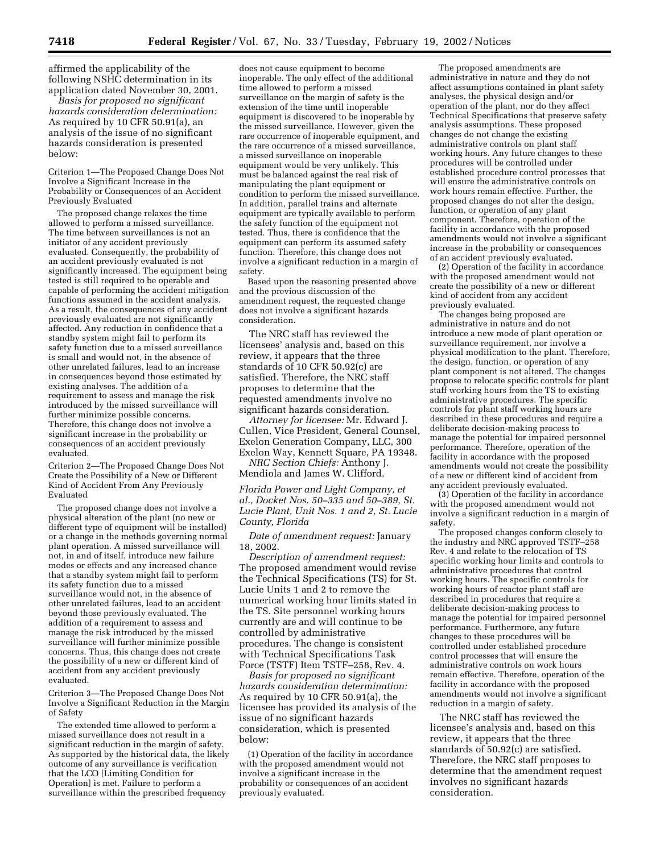affirmed the applicability of the following NSHC determination in its application dated November 30, 2001.

*Basis for proposed no significant hazards consideration determination:* As required by 10 CFR 50.91(a), an analysis of the issue of no significant hazards consideration is presented below:

Criterion 1—The Proposed Change Does Not Involve a Significant Increase in the Probability or Consequences of an Accident Previously Evaluated

The proposed change relaxes the time allowed to perform a missed surveillance. The time between surveillances is not an initiator of any accident previously evaluated. Consequently, the probability of an accident previously evaluated is not significantly increased. The equipment being tested is still required to be operable and capable of performing the accident mitigation functions assumed in the accident analysis. As a result, the consequences of any accident previously evaluated are not significantly affected. Any reduction in confidence that a standby system might fail to perform its safety function due to a missed surveillance is small and would not, in the absence of other unrelated failures, lead to an increase in consequences beyond those estimated by existing analyses. The addition of a requirement to assess and manage the risk introduced by the missed surveillance will further minimize possible concerns. Therefore, this change does not involve a significant increase in the probability or consequences of an accident previously evaluated.

Criterion 2—The Proposed Change Does Not Create the Possibility of a New or Different Kind of Accident From Any Previously Evaluated

The proposed change does not involve a physical alteration of the plant (no new or different type of equipment will be installed) or a change in the methods governing normal plant operation. A missed surveillance will not, in and of itself, introduce new failure modes or effects and any increased chance that a standby system might fail to perform its safety function due to a missed surveillance would not, in the absence of other unrelated failures, lead to an accident beyond those previously evaluated. The addition of a requirement to assess and manage the risk introduced by the missed surveillance will further minimize possible concerns. Thus, this change does not create the possibility of a new or different kind of accident from any accident previously evaluated.

Criterion 3—The Proposed Change Does Not Involve a Significant Reduction in the Margin of Safety

The extended time allowed to perform a missed surveillance does not result in a significant reduction in the margin of safety. As supported by the historical data, the likely outcome of any surveillance is verification that the LCO [Limiting Condition for Operation] is met. Failure to perform a surveillance within the prescribed frequency

does not cause equipment to become inoperable. The only effect of the additional time allowed to perform a missed surveillance on the margin of safety is the extension of the time until inoperable equipment is discovered to be inoperable by the missed surveillance. However, given the rare occurrence of inoperable equipment, and the rare occurrence of a missed surveillance, a missed surveillance on inoperable equipment would be very unlikely. This must be balanced against the real risk of manipulating the plant equipment or condition to perform the missed surveillance. In addition, parallel trains and alternate equipment are typically available to perform the safety function of the equipment not tested. Thus, there is confidence that the equipment can perform its assumed safety function. Therefore, this change does not involve a significant reduction in a margin of safety.

Based upon the reasoning presented above and the previous discussion of the amendment request, the requested change does not involve a significant hazards consideration.

The NRC staff has reviewed the licensees' analysis and, based on this review, it appears that the three standards of 10 CFR 50.92(c) are satisfied. Therefore, the NRC staff proposes to determine that the requested amendments involve no significant hazards consideration.

*Attorney for licensee:* Mr. Edward J. Cullen, Vice President, General Counsel, Exelon Generation Company, LLC, 300 Exelon Way, Kennett Square, PA 19348.

*NRC Section Chiefs:* Anthony J. Mendiola and James W. Clifford.

*Florida Power and Light Company, et al., Docket Nos. 50–335 and 50–389, St. Lucie Plant, Unit Nos. 1 and 2, St. Lucie County, Florida*

*Date of amendment request:* January 18, 2002.

*Description of amendment request:* The proposed amendment would revise the Technical Specifications (TS) for St. Lucie Units 1 and 2 to remove the numerical working hour limits stated in the TS. Site personnel working hours currently are and will continue to be controlled by administrative procedures. The change is consistent with Technical Specifications Task Force (TSTF) Item TSTF–258, Rev. 4.

*Basis for proposed no significant hazards consideration determination:* As required by 10 CFR 50.91(a), the licensee has provided its analysis of the issue of no significant hazards consideration, which is presented below:

(1) Operation of the facility in accordance with the proposed amendment would not involve a significant increase in the probability or consequences of an accident previously evaluated.

The proposed amendments are administrative in nature and they do not affect assumptions contained in plant safety analyses, the physical design and/or operation of the plant, nor do they affect Technical Specifications that preserve safety analysis assumptions. These proposed changes do not change the existing administrative controls on plant staff working hours. Any future changes to these procedures will be controlled under established procedure control processes that will ensure the administrative controls on work hours remain effective. Further, the proposed changes do not alter the design, function, or operation of any plant component. Therefore, operation of the facility in accordance with the proposed amendments would not involve a significant increase in the probability or consequences of an accident previously evaluated.

(2) Operation of the facility in accordance with the proposed amendment would not create the possibility of a new or different kind of accident from any accident previously evaluated.

The changes being proposed are administrative in nature and do not introduce a new mode of plant operation or surveillance requirement, nor involve a physical modification to the plant. Therefore, the design, function, or operation of any plant component is not altered. The changes propose to relocate specific controls for plant staff working hours from the TS to existing administrative procedures. The specific controls for plant staff working hours are described in these procedures and require a deliberate decision-making process to manage the potential for impaired personnel performance. Therefore, operation of the facility in accordance with the proposed amendments would not create the possibility of a new or different kind of accident from any accident previously evaluated.

(3) Operation of the facility in accordance with the proposed amendment would not involve a significant reduction in a margin of safety.

The proposed changes conform closely to the industry and NRC approved TSTF–258 Rev. 4 and relate to the relocation of TS specific working hour limits and controls to administrative procedures that control working hours. The specific controls for working hours of reactor plant staff are described in procedures that require a deliberate decision-making process to manage the potential for impaired personnel performance. Furthermore, any future changes to these procedures will be controlled under established procedure control processes that will ensure the administrative controls on work hours remain effective. Therefore, operation of the facility in accordance with the proposed amendments would not involve a significant reduction in a margin of safety.

The NRC staff has reviewed the licensee's analysis and, based on this review, it appears that the three standards of 50.92(c) are satisfied. Therefore, the NRC staff proposes to determine that the amendment request involves no significant hazards consideration.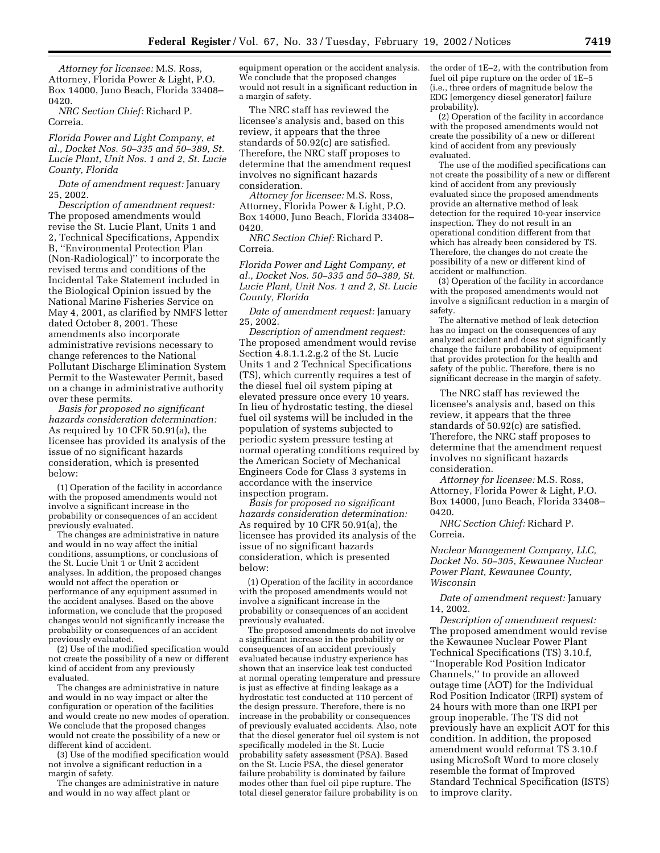*Attorney for licensee:* M.S. Ross, Attorney, Florida Power & Light, P.O. Box 14000, Juno Beach, Florida 33408– 0420.

*NRC Section Chief:* Richard P. Correia.

*Florida Power and Light Company, et al., Docket Nos. 50–335 and 50–389, St. Lucie Plant, Unit Nos. 1 and 2, St. Lucie County, Florida*

*Date of amendment request:* January 25, 2002.

*Description of amendment request:* The proposed amendments would revise the St. Lucie Plant, Units 1 and 2, Technical Specifications, Appendix B, ''Environmental Protection Plan (Non-Radiological)'' to incorporate the revised terms and conditions of the Incidental Take Statement included in the Biological Opinion issued by the National Marine Fisheries Service on May 4, 2001, as clarified by NMFS letter dated October 8, 2001. These amendments also incorporate administrative revisions necessary to change references to the National Pollutant Discharge Elimination System Permit to the Wastewater Permit, based on a change in administrative authority over these permits.

*Basis for proposed no significant hazards consideration determination:* As required by 10 CFR 50.91(a), the licensee has provided its analysis of the issue of no significant hazards consideration, which is presented below:

(1) Operation of the facility in accordance with the proposed amendments would not involve a significant increase in the probability or consequences of an accident previously evaluated.

The changes are administrative in nature and would in no way affect the initial conditions, assumptions, or conclusions of the St. Lucie Unit 1 or Unit 2 accident analyses. In addition, the proposed changes would not affect the operation or performance of any equipment assumed in the accident analyses. Based on the above information, we conclude that the proposed changes would not significantly increase the probability or consequences of an accident previously evaluated.

(2) Use of the modified specification would not create the possibility of a new or different kind of accident from any previously evaluated.

The changes are administrative in nature and would in no way impact or alter the configuration or operation of the facilities and would create no new modes of operation. We conclude that the proposed changes would not create the possibility of a new or different kind of accident.

(3) Use of the modified specification would not involve a significant reduction in a margin of safety.

The changes are administrative in nature and would in no way affect plant or

equipment operation or the accident analysis. We conclude that the proposed changes would not result in a significant reduction in a margin of safety.

The NRC staff has reviewed the licensee's analysis and, based on this review, it appears that the three standards of 50.92(c) are satisfied. Therefore, the NRC staff proposes to determine that the amendment request involves no significant hazards consideration.

*Attorney for licensee:* M.S. Ross, Attorney, Florida Power & Light, P.O. Box 14000, Juno Beach, Florida 33408– 0420.

*NRC Section Chief:* Richard P. Correia.

*Florida Power and Light Company, et al., Docket Nos. 50–335 and 50–389, St. Lucie Plant, Unit Nos. 1 and 2, St. Lucie County, Florida*

*Date of amendment request:* January 25, 2002.

*Description of amendment request:* The proposed amendment would revise Section 4.8.1.1.2.g.2 of the St. Lucie Units 1 and 2 Technical Specifications (TS), which currently requires a test of the diesel fuel oil system piping at elevated pressure once every 10 years. In lieu of hydrostatic testing, the diesel fuel oil systems will be included in the population of systems subjected to periodic system pressure testing at normal operating conditions required by the American Society of Mechanical Engineers Code for Class 3 systems in accordance with the inservice inspection program.

*Basis for proposed no significant hazards consideration determination:* As required by 10 CFR 50.91(a), the licensee has provided its analysis of the issue of no significant hazards consideration, which is presented below:

(1) Operation of the facility in accordance with the proposed amendments would not involve a significant increase in the probability or consequences of an accident previously evaluated.

The proposed amendments do not involve a significant increase in the probability or consequences of an accident previously evaluated because industry experience has shown that an inservice leak test conducted at normal operating temperature and pressure is just as effective at finding leakage as a hydrostatic test conducted at 110 percent of the design pressure. Therefore, there is no increase in the probability or consequences of previously evaluated accidents. Also, note that the diesel generator fuel oil system is not specifically modeled in the St. Lucie probability safety assessment (PSA). Based on the St. Lucie PSA, the diesel generator failure probability is dominated by failure modes other than fuel oil pipe rupture. The total diesel generator failure probability is on

the order of 1E–2, with the contribution from fuel oil pipe rupture on the order of 1E–5 (i.e., three orders of magnitude below the EDG [emergency diesel generator] failure probability).

(2) Operation of the facility in accordance with the proposed amendments would not create the possibility of a new or different kind of accident from any previously evaluated.

The use of the modified specifications can not create the possibility of a new or different kind of accident from any previously evaluated since the proposed amendments provide an alternative method of leak detection for the required 10-year inservice inspection. They do not result in an operational condition different from that which has already been considered by TS. Therefore, the changes do not create the possibility of a new or different kind of accident or malfunction.

(3) Operation of the facility in accordance with the proposed amendments would not involve a significant reduction in a margin of safety.

The alternative method of leak detection has no impact on the consequences of any analyzed accident and does not significantly change the failure probability of equipment that provides protection for the health and safety of the public. Therefore, there is no significant decrease in the margin of safety.

The NRC staff has reviewed the licensee's analysis and, based on this review, it appears that the three standards of 50.92(c) are satisfied. Therefore, the NRC staff proposes to determine that the amendment request involves no significant hazards consideration.

*Attorney for licensee:* M.S. Ross, Attorney, Florida Power & Light, P.O. Box 14000, Juno Beach, Florida 33408– 0420.

*NRC Section Chief:* Richard P. Correia.

*Nuclear Management Company, LLC, Docket No. 50–305, Kewaunee Nuclear Power Plant, Kewaunee County, Wisconsin*

*Date of amendment request:* January 14, 2002.

*Description of amendment request:* The proposed amendment would revise the Kewaunee Nuclear Power Plant Technical Specifications (TS) 3.10.f, ''Inoperable Rod Position Indicator Channels,'' to provide an allowed outage time (AOT) for the Individual Rod Position Indicator (IRPI) system of 24 hours with more than one IRPI per group inoperable. The TS did not previously have an explicit AOT for this condition. In addition, the proposed amendment would reformat TS 3.10.f using MicroSoft Word to more closely resemble the format of Improved Standard Technical Specification (ISTS) to improve clarity.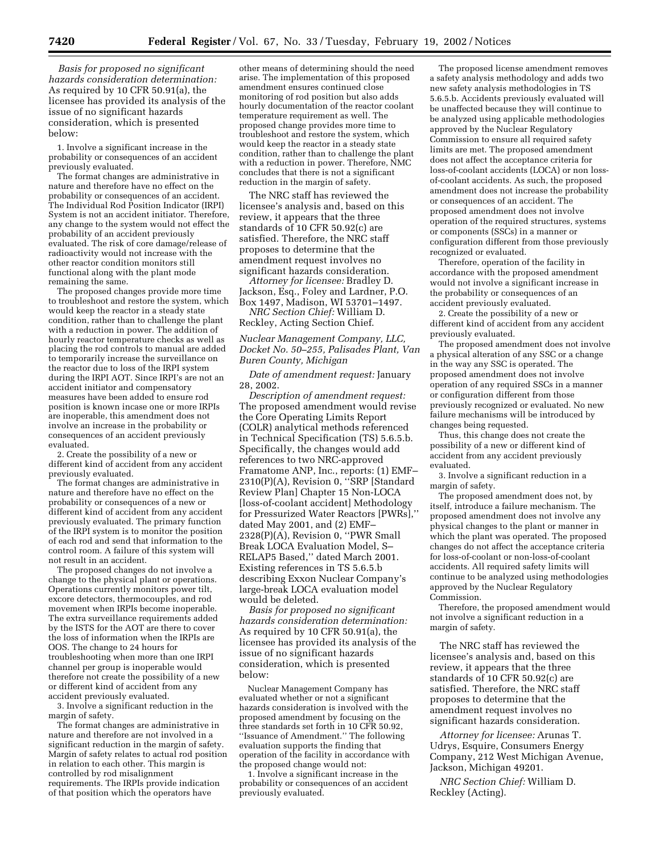*Basis for proposed no significant hazards consideration determination:* As required by 10 CFR 50.91(a), the licensee has provided its analysis of the issue of no significant hazards consideration, which is presented below:

1. Involve a significant increase in the probability or consequences of an accident previously evaluated.

The format changes are administrative in nature and therefore have no effect on the probability or consequences of an accident. The Individual Rod Position Indicator (IRPI) System is not an accident initiator. Therefore, any change to the system would not effect the probability of an accident previously evaluated. The risk of core damage/release of radioactivity would not increase with the other reactor condition monitors still functional along with the plant mode remaining the same.

The proposed changes provide more time to troubleshoot and restore the system, which would keep the reactor in a steady state condition, rather than to challenge the plant with a reduction in power. The addition of hourly reactor temperature checks as well as placing the rod controls to manual are added to temporarily increase the surveillance on the reactor due to loss of the IRPI system during the IRPI AOT. Since IRPI's are not an accident initiator and compensatory measures have been added to ensure rod position is known incase one or more IRPIs are inoperable, this amendment does not involve an increase in the probability or consequences of an accident previously evaluated.

2. Create the possibility of a new or different kind of accident from any accident previously evaluated.

The format changes are administrative in nature and therefore have no effect on the probability or consequences of a new or different kind of accident from any accident previously evaluated. The primary function of the IRPI system is to monitor the position of each rod and send that information to the control room. A failure of this system will not result in an accident.

The proposed changes do not involve a change to the physical plant or operations. Operations currently monitors power tilt, excore detectors, thermocouples, and rod movement when IRPIs become inoperable. The extra surveillance requirements added by the ISTS for the AOT are there to cover the loss of information when the IRPIs are OOS. The change to 24 hours for troubleshooting when more than one IRPI channel per group is inoperable would therefore not create the possibility of a new or different kind of accident from any accident previously evaluated.

3. Involve a significant reduction in the margin of safety.

The format changes are administrative in nature and therefore are not involved in a significant reduction in the margin of safety. Margin of safety relates to actual rod position in relation to each other. This margin is controlled by rod misalignment requirements. The IRPIs provide indication of that position which the operators have

other means of determining should the need arise. The implementation of this proposed amendment ensures continued close monitoring of rod position but also adds hourly documentation of the reactor coolant temperature requirement as well. The proposed change provides more time to troubleshoot and restore the system, which would keep the reactor in a steady state condition, rather than to challenge the plant with a reduction in power. Therefore, NMC concludes that there is not a significant reduction in the margin of safety.

The NRC staff has reviewed the licensee's analysis and, based on this review, it appears that the three standards of 10 CFR 50.92(c) are satisfied. Therefore, the NRC staff proposes to determine that the amendment request involves no significant hazards consideration.

*Attorney for licensee:* Bradley D. Jackson, Esq., Foley and Lardner, P.O. Box 1497, Madison, WI 53701–1497.

*NRC Section Chief:* William D. Reckley, Acting Section Chief.

*Nuclear Management Company, LLC, Docket No. 50–255, Palisades Plant, Van Buren County, Michigan*

*Date of amendment request:* January 28, 2002.

*Description of amendment request:* The proposed amendment would revise the Core Operating Limits Report (COLR) analytical methods referenced in Technical Specification (TS) 5.6.5.b. Specifically, the changes would add references to two NRC-approved Framatome ANP, Inc., reports: (1) EMF– 2310(P)(A), Revision 0, ''SRP [Standard Review Plan] Chapter 15 Non-LOCA [loss-of-coolant accident] Methodology for Pressurized Water Reactors [PWRs],'' dated May 2001, and (2) EMF– 2328(P)(A), Revision 0, ''PWR Small Break LOCA Evaluation Model, S– RELAP5 Based,'' dated March 2001. Existing references in TS 5.6.5.b describing Exxon Nuclear Company's large-break LOCA evaluation model would be deleted.

*Basis for proposed no significant hazards consideration determination:* As required by 10 CFR 50.91(a), the licensee has provided its analysis of the issue of no significant hazards consideration, which is presented below:

Nuclear Management Company has evaluated whether or not a significant hazards consideration is involved with the proposed amendment by focusing on the three standards set forth in 10 CFR 50.92, ''Issuance of Amendment.'' The following evaluation supports the finding that operation of the facility in accordance with the proposed change would not:

1. Involve a significant increase in the probability or consequences of an accident previously evaluated.

The proposed license amendment removes a safety analysis methodology and adds two new safety analysis methodologies in TS 5.6.5.b. Accidents previously evaluated will be unaffected because they will continue to be analyzed using applicable methodologies approved by the Nuclear Regulatory Commission to ensure all required safety limits are met. The proposed amendment does not affect the acceptance criteria for loss-of-coolant accidents (LOCA) or non lossof-coolant accidents. As such, the proposed amendment does not increase the probability or consequences of an accident. The proposed amendment does not involve operation of the required structures, systems or components (SSCs) in a manner or configuration different from those previously recognized or evaluated.

Therefore, operation of the facility in accordance with the proposed amendment would not involve a significant increase in the probability or consequences of an accident previously evaluated.

2. Create the possibility of a new or different kind of accident from any accident previously evaluated.

The proposed amendment does not involve a physical alteration of any SSC or a change in the way any SSC is operated. The proposed amendment does not involve operation of any required SSCs in a manner or configuration different from those previously recognized or evaluated. No new failure mechanisms will be introduced by changes being requested.

Thus, this change does not create the possibility of a new or different kind of accident from any accident previously evaluated.

3. Involve a significant reduction in a margin of safety.

The proposed amendment does not, by itself, introduce a failure mechanism. The proposed amendment does not involve any physical changes to the plant or manner in which the plant was operated. The proposed changes do not affect the acceptance criteria for loss-of-coolant or non-loss-of-coolant accidents. All required safety limits will continue to be analyzed using methodologies approved by the Nuclear Regulatory Commission.

Therefore, the proposed amendment would not involve a significant reduction in a margin of safety.

The NRC staff has reviewed the licensee's analysis and, based on this review, it appears that the three standards of 10 CFR 50.92(c) are satisfied. Therefore, the NRC staff proposes to determine that the amendment request involves no significant hazards consideration.

*Attorney for licensee:* Arunas T. Udrys, Esquire, Consumers Energy Company, 212 West Michigan Avenue, Jackson, Michigan 49201.

*NRC Section Chief:* William D. Reckley (Acting).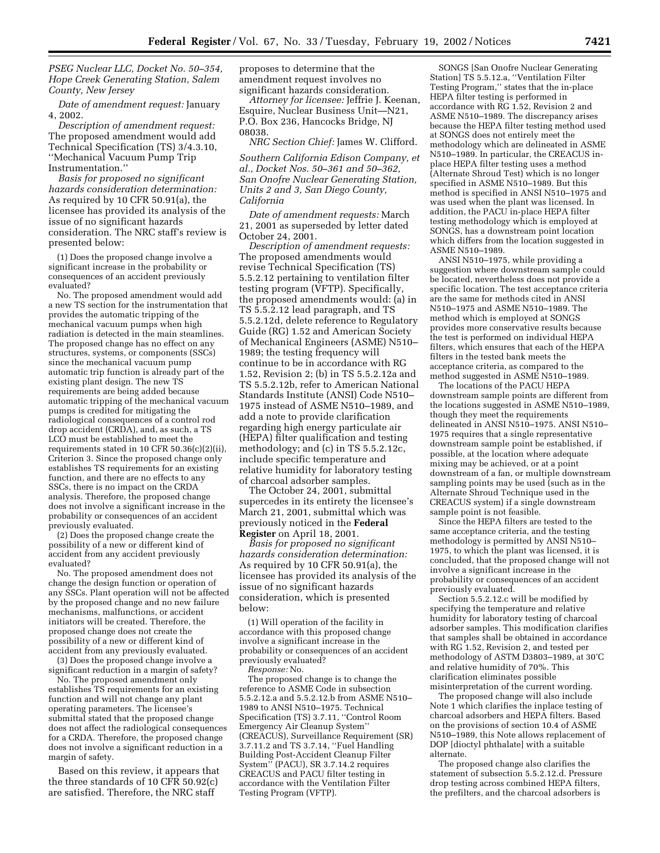*PSEG Nuclear LLC, Docket No. 50–354, Hope Creek Generating Station, Salem County, New Jersey*

*Date of amendment request:* January 4, 2002.

*Description of amendment request:* The proposed amendment would add Technical Specification (TS) 3/4.3.10, ''Mechanical Vacuum Pump Trip Instrumentation.''

*Basis for proposed no significant hazards consideration determination:* As required by 10 CFR 50.91(a), the licensee has provided its analysis of the issue of no significant hazards consideration. The NRC staff's review is presented below:

(1) Does the proposed change involve a significant increase in the probability or consequences of an accident previously evaluated?

No. The proposed amendment would add a new TS section for the instrumentation that provides the automatic tripping of the mechanical vacuum pumps when high radiation is detected in the main steamlines. The proposed change has no effect on any structures, systems, or components (SSCs) since the mechanical vacuum pump automatic trip function is already part of the existing plant design. The new TS requirements are being added because automatic tripping of the mechanical vacuum pumps is credited for mitigating the radiological consequences of a control rod drop accident (CRDA), and, as such, a TS LCO must be established to meet the requirements stated in 10 CFR 50.36(c)(2)(ii), Criterion 3. Since the proposed change only establishes TS requirements for an existing function, and there are no effects to any SSCs, there is no impact on the CRDA analysis. Therefore, the proposed change does not involve a significant increase in the probability or consequences of an accident previously evaluated.

(2) Does the proposed change create the possibility of a new or different kind of accident from any accident previously evaluated?

No. The proposed amendment does not change the design function or operation of any SSCs. Plant operation will not be affected by the proposed change and no new failure mechanisms, malfunctions, or accident initiators will be created. Therefore, the proposed change does not create the possibility of a new or different kind of accident from any previously evaluated.

(3) Does the proposed change involve a significant reduction in a margin of safety?

No. The proposed amendment only establishes TS requirements for an existing function and will not change any plant operating parameters. The licensee's submittal stated that the proposed change does not affect the radiological consequences for a CRDA. Therefore, the proposed change does not involve a significant reduction in a margin of safety.

Based on this review, it appears that the three standards of 10 CFR 50.92(c) are satisfied. Therefore, the NRC staff

proposes to determine that the amendment request involves no significant hazards consideration.

*Attorney for licensee:* Jeffrie J. Keenan, Esquire, Nuclear Business Unit—N21, P.O. Box 236, Hancocks Bridge, NJ 08038.

*NRC Section Chief:* James W. Clifford.

*Southern California Edison Company, et al., Docket Nos. 50–361 and 50–362, San Onofre Nuclear Generating Station, Units 2 and 3, San Diego County, California*

*Date of amendment requests:* March 21, 2001 as superseded by letter dated October 24, 2001.

*Description of amendment requests:* The proposed amendments would revise Technical Specification (TS) 5.5.2.12 pertaining to ventilation filter testing program (VFTP). Specifically, the proposed amendments would: (a) in TS 5.5.2.12 lead paragraph, and TS 5.5.2.12d, delete reference to Regulatory Guide (RG) 1.52 and American Society of Mechanical Engineers (ASME) N510– 1989; the testing frequency will continue to be in accordance with RG 1.52, Revision 2; (b) in TS 5.5.2.12a and TS 5.5.2.12b, refer to American National Standards Institute (ANSI) Code N510– 1975 instead of ASME N510–1989, and add a note to provide clarification regarding high energy particulate air (HEPA) filter qualification and testing methodology; and (c) in TS 5.5.2.12c, include specific temperature and relative humidity for laboratory testing of charcoal adsorber samples.

The October 24, 2001, submittal supercedes in its entirety the licensee's March 21, 2001, submittal which was previously noticed in the **Federal Register** on April 18, 2001.

*Basis for proposed no significant hazards consideration determination:* As required by 10 CFR 50.91(a), the licensee has provided its analysis of the issue of no significant hazards consideration, which is presented below:

(1) Will operation of the facility in accordance with this proposed change involve a significant increase in the probability or consequences of an accident previously evaluated?

*Response:* No.

The proposed change is to change the reference to ASME Code in subsection 5.5.2.12.a and 5.5.2.12.b from ASME N510– 1989 to ANSI N510–1975. Technical Specification (TS) 3.7.11, ''Control Room Emergency Air Cleanup System'' (CREACUS), Surveillance Requirement (SR) 3.7.11.2 and TS 3.7.14, ''Fuel Handling Building Post-Accident Cleanup Filter System'' (PACU), SR 3.7.14.2 requires CREACUS and PACU filter testing in accordance with the Ventilation Filter Testing Program (VFTP).

SONGS [San Onofre Nuclear Generating Station] TS 5.5.12.a, ''Ventilation Filter Testing Program,'' states that the in-place HEPA filter testing is performed in accordance with RG 1.52, Revision 2 and ASME N510–1989. The discrepancy arises because the HEPA filter testing method used at SONGS does not entirely meet the methodology which are delineated in ASME N510–1989. In particular, the CREACUS inplace HEPA filter testing uses a method (Alternate Shroud Test) which is no longer specified in ASME N510–1989. But this method is specified in ANSI N510–1975 and was used when the plant was licensed. In addition, the PACU in-place HEPA filter testing methodology which is employed at SONGS, has a downstream point location which differs from the location suggested in ASME N510–1989.

ANSI N510–1975, while providing a suggestion where downstream sample could be located, nevertheless does not provide a specific location. The test acceptance criteria are the same for methods cited in ANSI N510–1975 and ASME N510–1989. The method which is employed at SONGS provides more conservative results because the test is performed on individual HEPA filters, which ensures that each of the HEPA filters in the tested bank meets the acceptance criteria, as compared to the method suggested in ASME N510–1989.

The locations of the PACU HEPA downstream sample points are different from the locations suggested in ASME N510–1989, though they meet the requirements delineated in ANSI N510–1975. ANSI N510– 1975 requires that a single representative downstream sample point be established, if possible, at the location where adequate mixing may be achieved, or at a point downstream of a fan, or multiple downstream sampling points may be used (such as in the Alternate Shroud Technique used in the CREACUS system) if a single downstream sample point is not feasible.

Since the HEPA filters are tested to the same acceptance criteria, and the testing methodology is permitted by ANSI N510– 1975, to which the plant was licensed, it is concluded, that the proposed change will not involve a significant increase in the probability or consequences of an accident previously evaluated.

Section 5.5.2.12.c will be modified by specifying the temperature and relative humidity for laboratory testing of charcoal adsorber samples. This modification clarifies that samples shall be obtained in accordance with RG 1.52, Revision 2, and tested per methodology of ASTM D3803–1989, at 30'C and relative humidity of 70%. This clarification eliminates possible misinterpretation of the current wording.

The proposed change will also include Note 1 which clarifies the inplace testing of charcoal adsorbers and HEPA filters. Based on the provisions of section 10.4 of ASME N510–1989, this Note allows replacement of DOP [dioctyl phthalate] with a suitable alternate.

The proposed change also clarifies the statement of subsection 5.5.2.12.d. Pressure drop testing across combined HEPA filters, the prefilters, and the charcoal adsorbers is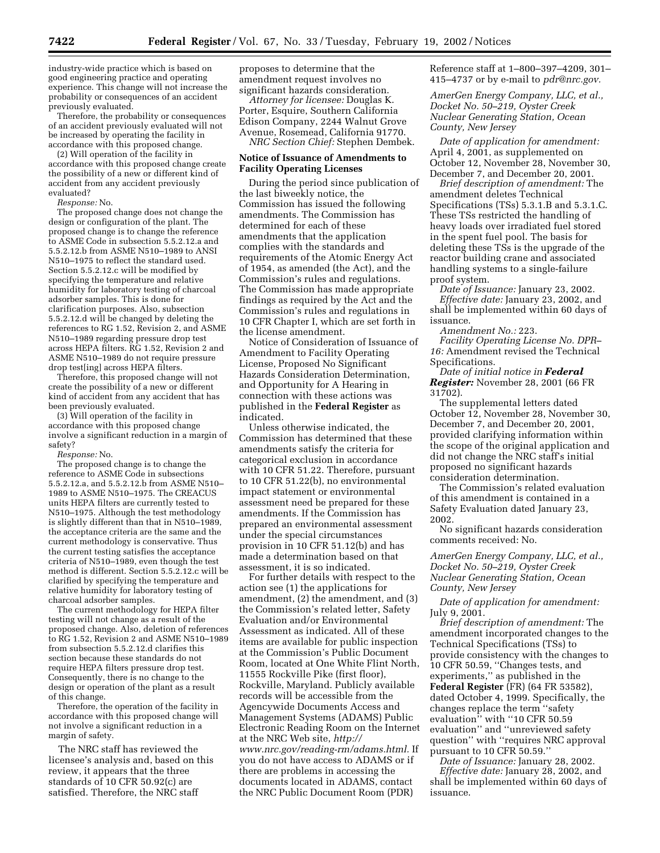industry-wide practice which is based on good engineering practice and operating experience. This change will not increase the probability or consequences of an accident previously evaluated.

Therefore, the probability or consequences of an accident previously evaluated will not be increased by operating the facility in accordance with this proposed change.

(2) Will operation of the facility in accordance with this proposed change create the possibility of a new or different kind of accident from any accident previously evaluated?

*Response:* No.

The proposed change does not change the design or configuration of the plant. The proposed change is to change the reference to ASME Code in subsection 5.5.2.12.a and 5.5.2.12.b from ASME N510–1989 to ANSI N510–1975 to reflect the standard used. Section 5.5.2.12.c will be modified by specifying the temperature and relative humidity for laboratory testing of charcoal adsorber samples. This is done for clarification purposes. Also, subsection 5.5.2.12.d will be changed by deleting the references to RG 1.52, Revision 2, and ASME N510–1989 regarding pressure drop test across HEPA filters. RG 1.52, Revision 2 and ASME N510–1989 do not require pressure drop test[ing] across HEPA filters.

Therefore, this proposed change will not create the possibility of a new or different kind of accident from any accident that has been previously evaluated.

(3) Will operation of the facility in accordance with this proposed change involve a significant reduction in a margin of safety?

*Response:* No.

The proposed change is to change the reference to ASME Code in subsections 5.5.2.12.a, and 5.5.2.12.b from ASME N510– 1989 to ASME N510–1975. The CREACUS units HEPA filters are currently tested to N510–1975. Although the test methodology is slightly different than that in N510–1989, the acceptance criteria are the same and the current methodology is conservative. Thus the current testing satisfies the acceptance criteria of  $N510-1989$ , even though the test method is different. Section 5.5.2.12.c will be clarified by specifying the temperature and relative humidity for laboratory testing of charcoal adsorber samples.

The current methodology for HEPA filter testing will not change as a result of the proposed change. Also, deletion of references to RG 1.52, Revision 2 and ASME N510–1989 from subsection 5.5.2.12.d clarifies this section because these standards do not require HEPA filters pressure drop test. Consequently, there is no change to the design or operation of the plant as a result of this change.

Therefore, the operation of the facility in accordance with this proposed change will not involve a significant reduction in a margin of safety.

The NRC staff has reviewed the licensee's analysis and, based on this review, it appears that the three standards of 10 CFR 50.92(c) are satisfied. Therefore, the NRC staff

proposes to determine that the amendment request involves no significant hazards consideration.

*Attorney for licensee:* Douglas K. Porter, Esquire, Southern California Edison Company, 2244 Walnut Grove Avenue, Rosemead, California 91770. *NRC Section Chief:* Stephen Dembek.

### **Notice of Issuance of Amendments to Facility Operating Licenses**

During the period since publication of the last biweekly notice, the Commission has issued the following amendments. The Commission has determined for each of these amendments that the application complies with the standards and requirements of the Atomic Energy Act of 1954, as amended (the Act), and the Commission's rules and regulations. The Commission has made appropriate findings as required by the Act and the Commission's rules and regulations in 10 CFR Chapter I, which are set forth in the license amendment.

Notice of Consideration of Issuance of Amendment to Facility Operating License, Proposed No Significant Hazards Consideration Determination, and Opportunity for A Hearing in connection with these actions was published in the **Federal Register** as indicated.

Unless otherwise indicated, the Commission has determined that these amendments satisfy the criteria for categorical exclusion in accordance with 10 CFR 51.22. Therefore, pursuant to 10 CFR 51.22(b), no environmental impact statement or environmental assessment need be prepared for these amendments. If the Commission has prepared an environmental assessment under the special circumstances provision in 10 CFR 51.12(b) and has made a determination based on that assessment, it is so indicated.

For further details with respect to the action see (1) the applications for amendment, (2) the amendment, and (3) the Commission's related letter, Safety Evaluation and/or Environmental Assessment as indicated. All of these items are available for public inspection at the Commission's Public Document Room, located at One White Flint North, 11555 Rockville Pike (first floor), Rockville, Maryland. Publicly available records will be accessible from the Agencywide Documents Access and Management Systems (ADAMS) Public Electronic Reading Room on the Internet at the NRC Web site, *http:// www.nrc.gov/reading-rm/adams.html.* If you do not have access to ADAMS or if there are problems in accessing the documents located in ADAMS, contact the NRC Public Document Room (PDR)

Reference staff at 1–800–397–4209, 301– 415–4737 or by e-mail to *pdr@nrc.gov.*

*AmerGen Energy Company, LLC, et al., Docket No. 50–219, Oyster Creek Nuclear Generating Station, Ocean County, New Jersey*

*Date of application for amendment:* April 4, 2001, as supplemented on October 12, November 28, November 30, December 7, and December 20, 2001.

*Brief description of amendment:* The amendment deletes Technical Specifications (TSs) 5.3.1.B and 5.3.1.C. These TSs restricted the handling of heavy loads over irradiated fuel stored in the spent fuel pool. The basis for deleting these TSs is the upgrade of the reactor building crane and associated handling systems to a single-failure proof system.

*Date of Issuance:* January 23, 2002. *Effective date:* January 23, 2002, and shall be implemented within 60 days of

issuance. *Amendment No.:* 223.

*Facility Operating License No. DPR– 16:* Amendment revised the Technical Specifications.

*Date of initial notice in Federal Register:* November 28, 2001 (66 FR 31702).

The supplemental letters dated October 12, November 28, November 30, December 7, and December 20, 2001, provided clarifying information within the scope of the original application and did not change the NRC staff's initial proposed no significant hazards consideration determination.

The Commission's related evaluation of this amendment is contained in a Safety Evaluation dated January 23, 2002.

No significant hazards consideration comments received: No.

*AmerGen Energy Company, LLC, et al., Docket No. 50–219, Oyster Creek Nuclear Generating Station, Ocean County, New Jersey*

*Date of application for amendment:* July 9, 2001.

*Brief description of amendment:* The amendment incorporated changes to the Technical Specifications (TSs) to provide consistency with the changes to 10 CFR 50.59, ''Changes tests, and experiments,'' as published in the **Federal Register** (FR) (64 FR 53582), dated October 4, 1999. Specifically, the changes replace the term ''safety evaluation'' with ''10 CFR 50.59 evaluation'' and ''unreviewed safety question'' with ''requires NRC approval pursuant to 10 CFR 50.59.''

*Date of Issuance:* January 28, 2002. *Effective date:* January 28, 2002, and shall be implemented within 60 days of issuance.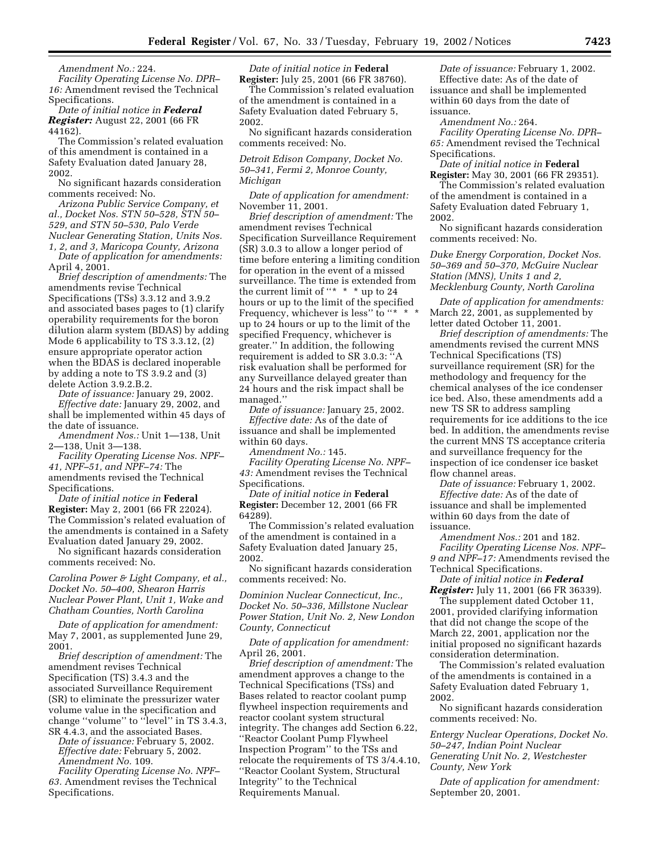*Amendment No.:* 224.

*Facility Operating License No. DPR– 16:* Amendment revised the Technical Specifications.

*Date of initial notice in Federal Register:* August 22, 2001 (66 FR 44162).

The Commission's related evaluation of this amendment is contained in a Safety Evaluation dated January 28, 2002.

No significant hazards consideration comments received: No.

*Arizona Public Service Company, et al., Docket Nos. STN 50–528, STN 50– 529, and STN 50–530, Palo Verde Nuclear Generating Station, Units Nos. 1, 2, and 3, Maricopa County, Arizona*

*Date of application for amendments:* April 4, 2001.

*Brief description of amendments:* The amendments revise Technical Specifications (TSs) 3.3.12 and 3.9.2 and associated bases pages to (1) clarify operability requirements for the boron dilution alarm system (BDAS) by adding Mode 6 applicability to TS 3.3.12, (2) ensure appropriate operator action when the BDAS is declared inoperable by adding a note to TS 3.9.2 and (3) delete Action 3.9.2.B.2.

*Date of issuance:* January 29, 2002. *Effective date:* January 29, 2002, and shall be implemented within 45 days of the date of issuance.

*Amendment Nos.:* Unit 1—138, Unit 2—138, Unit 3—138.

*Facility Operating License Nos. NPF– 41, NPF–51, and NPF–74:* The amendments revised the Technical Specifications.

*Date of initial notice in* **Federal Register:** May 2, 2001 (66 FR 22024). The Commission's related evaluation of the amendments is contained in a Safety Evaluation dated January 29, 2002.

No significant hazards consideration comments received: No.

# *Carolina Power & Light Company, et al., Docket No. 50–400, Shearon Harris Nuclear Power Plant, Unit 1, Wake and Chatham Counties, North Carolina*

*Date of application for amendment:* May 7, 2001, as supplemented June 29, 2001.

*Brief description of amendment:* The amendment revises Technical Specification (TS) 3.4.3 and the associated Surveillance Requirement (SR) to eliminate the pressurizer water volume value in the specification and change ''volume'' to ''level'' in TS 3.4.3, SR 4.4.3, and the associated Bases.

*Date of issuance:* February 5, 2002. *Effective date:* February 5, 2002. *Amendment No.* 109.

*Facility Operating License No. NPF– 63.* Amendment revises the Technical Specifications.

*Date of initial notice in* **Federal Register:** July 25, 2001 (66 FR 38760).

The Commission's related evaluation of the amendment is contained in a Safety Evaluation dated February 5, 2002.

No significant hazards consideration comments received: No.

*Detroit Edison Company, Docket No. 50–341, Fermi 2, Monroe County, Michigan*

*Date of application for amendment:* November 11, 2001.

*Brief description of amendment:* The amendment revises Technical Specification Surveillance Requirement (SR) 3.0.3 to allow a longer period of time before entering a limiting condition for operation in the event of a missed surveillance. The time is extended from the current limit of "\* \* \* up to 24 hours or up to the limit of the specified Frequency, whichever is less" to "\* \* up to 24 hours or up to the limit of the specified Frequency, whichever is greater.'' In addition, the following requirement is added to SR 3.0.3: ''A risk evaluation shall be performed for any Surveillance delayed greater than 24 hours and the risk impact shall be managed.''

*Date of issuance:* January 25, 2002. *Effective date:* As of the date of issuance and shall be implemented within 60 days.

*Amendment No.:* 145.

*Facility Operating License No. NPF– 43:* Amendment revises the Technical Specifications.

*Date of initial notice in* **Federal Register:** December 12, 2001 (66 FR 64289).

The Commission's related evaluation of the amendment is contained in a Safety Evaluation dated January 25, 2002.

No significant hazards consideration comments received: No.

*Dominion Nuclear Connecticut, Inc., Docket No. 50–336, Millstone Nuclear Power Station, Unit No. 2, New London County, Connecticut*

*Date of application for amendment:* April 26, 2001.

*Brief description of amendment:* The amendment approves a change to the Technical Specifications (TSs) and Bases related to reactor coolant pump flywheel inspection requirements and reactor coolant system structural integrity. The changes add Section 6.22, ''Reactor Coolant Pump Flywheel Inspection Program'' to the TSs and relocate the requirements of TS 3/4.4.10, ''Reactor Coolant System, Structural Integrity'' to the Technical Requirements Manual.

*Date of issuance:* February 1, 2002. Effective date: As of the date of issuance and shall be implemented within 60 days from the date of issuance.

*Amendment No.:* 264.

*Facility Operating License No. DPR– 65:* Amendment revised the Technical Specifications.

*Date of initial notice in* **Federal Register:** May 30, 2001 (66 FR 29351).

The Commission's related evaluation of the amendment is contained in a Safety Evaluation dated February 1, 2002.

No significant hazards consideration comments received: No.

*Duke Energy Corporation, Docket Nos. 50–369 and 50–370, McGuire Nuclear Station (MNS), Units 1 and 2, Mecklenburg County, North Carolina*

*Date of application for amendments:* March 22, 2001, as supplemented by letter dated October 11, 2001.

*Brief description of amendments:* The amendments revised the current MNS Technical Specifications (TS) surveillance requirement (SR) for the methodology and frequency for the chemical analyses of the ice condenser ice bed. Also, these amendments add a new TS SR to address sampling requirements for ice additions to the ice bed. In addition, the amendments revise the current MNS TS acceptance criteria and surveillance frequency for the inspection of ice condenser ice basket flow channel areas.

*Date of issuance:* February 1, 2002. *Effective date:* As of the date of issuance and shall be implemented within 60 days from the date of issuance.

*Amendment Nos.:* 201 and 182. *Facility Operating License Nos. NPF– 9 and NPF–17:* Amendments revised the Technical Specifications.

*Date of initial notice in Federal Register:* July 11, 2001 (66 FR 36339).

The supplement dated October 11, 2001, provided clarifying information that did not change the scope of the March 22, 2001, application nor the initial proposed no significant hazards consideration determination.

The Commission's related evaluation of the amendments is contained in a Safety Evaluation dated February 1, 2002.

No significant hazards consideration comments received: No.

*Entergy Nuclear Operations, Docket No. 50–247, Indian Point Nuclear Generating Unit No. 2, Westchester County, New York*

*Date of application for amendment:* September 20, 2001.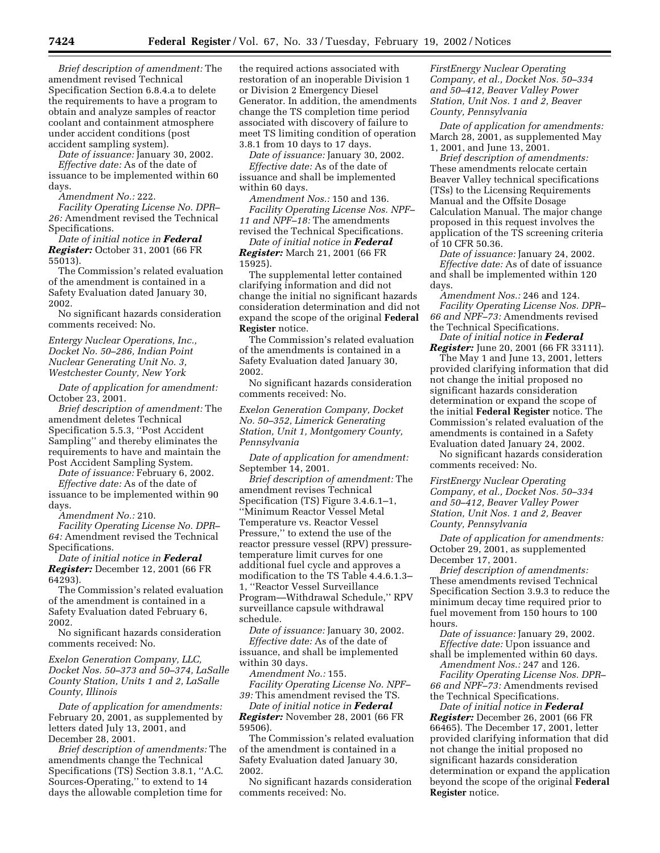*Brief description of amendment:* The amendment revised Technical Specification Section 6.8.4.a to delete the requirements to have a program to obtain and analyze samples of reactor coolant and containment atmosphere under accident conditions (post accident sampling system).

*Date of issuance:* January 30, 2002.

*Effective date:* As of the date of issuance to be implemented within 60 days.

*Amendment No.:* 222.

*Facility Operating License No. DPR– 26:* Amendment revised the Technical Specifications.

*Date of initial notice in Federal Register:* October 31, 2001 (66 FR 55013).

The Commission's related evaluation of the amendment is contained in a Safety Evaluation dated January 30, 2002.

No significant hazards consideration comments received: No.

*Entergy Nuclear Operations, Inc., Docket No. 50–286, Indian Point Nuclear Generating Unit No. 3, Westchester County, New York*

*Date of application for amendment:* October 23, 2001.

*Brief description of amendment:* The amendment deletes Technical Specification 5.5.3, ''Post Accident Sampling'' and thereby eliminates the requirements to have and maintain the Post Accident Sampling System.

*Date of issuance:* February 6, 2002.

*Effective date:* As of the date of issuance to be implemented within 90 days.

*Amendment No.:* 210.

*Facility Operating License No. DPR– 64:* Amendment revised the Technical Specifications.

*Date of initial notice in Federal Register:* December 12, 2001 (66 FR 64293).

The Commission's related evaluation of the amendment is contained in a Safety Evaluation dated February 6, 2002.

No significant hazards consideration comments received: No.

*Exelon Generation Company, LLC, Docket Nos. 50–373 and 50–374, LaSalle County Station, Units 1 and 2, LaSalle County, Illinois*

*Date of application for amendments:* February 20, 2001, as supplemented by letters dated July 13, 2001, and December 28, 2001.

*Brief description of amendments:* The amendments change the Technical Specifications (TS) Section 3.8.1, ''A.C. Sources-Operating,'' to extend to 14 days the allowable completion time for

the required actions associated with restoration of an inoperable Division 1 or Division 2 Emergency Diesel Generator. In addition, the amendments change the TS completion time period associated with discovery of failure to meet TS limiting condition of operation 3.8.1 from 10 days to 17 days.

*Date of issuance:* January 30, 2002.

*Effective date:* As of the date of issuance and shall be implemented within 60 days.

*Amendment Nos.:* 150 and 136. *Facility Operating License Nos. NPF– 11 and NPF–18:* The amendments revised the Technical Specifications.

*Date of initial notice in Federal*

*Register:* March 21, 2001 (66 FR 15925).

The supplemental letter contained clarifying information and did not change the initial no significant hazards consideration determination and did not expand the scope of the original **Federal Register** notice.

The Commission's related evaluation of the amendments is contained in a Safety Evaluation dated January 30, 2002.

No significant hazards consideration comments received: No.

*Exelon Generation Company, Docket No. 50–352, Limerick Generating Station, Unit 1, Montgomery County, Pennsylvania*

*Date of application for amendment:* September 14, 2001.

*Brief description of amendment:* The amendment revises Technical Specification (TS) Figure 3.4.6.1–1, ''Minimum Reactor Vessel Metal Temperature vs. Reactor Vessel Pressure,'' to extend the use of the reactor pressure vessel (RPV) pressuretemperature limit curves for one additional fuel cycle and approves a modification to the TS Table 4.4.6.1.3– 1, ''Reactor Vessel Surveillance Program—Withdrawal Schedule,'' RPV surveillance capsule withdrawal schedule.

*Date of issuance:* January 30, 2002. *Effective date:* As of the date of issuance, and shall be implemented within 30 days.

*Amendment No.:* 155.

*Facility Operating License No. NPF– 39:* This amendment revised the TS.

*Date of initial notice in Federal Register:* November 28, 2001 (66 FR 59506).

The Commission's related evaluation of the amendment is contained in a Safety Evaluation dated January 30, 2002.

No significant hazards consideration comments received: No.

*FirstEnergy Nuclear Operating Company, et al., Docket Nos. 50–334 and 50–412, Beaver Valley Power Station, Unit Nos. 1 and 2, Beaver County, Pennsylvania*

*Date of application for amendments:* March 28, 2001, as supplemented May 1, 2001, and June 13, 2001.

*Brief description of amendments:* These amendments relocate certain Beaver Valley technical specifications (TSs) to the Licensing Requirements Manual and the Offsite Dosage Calculation Manual. The major change proposed in this request involves the application of the TS screening criteria of 10 CFR 50.36.

*Date of issuance:* January 24, 2002. *Effective date:* As of date of issuance and shall be implemented within 120 days.

*Amendment Nos.:* 246 and 124. *Facility Operating License Nos. DPR– 66 and NPF–73:* Amendments revised the Technical Specifications.

*Date of initial notice in Federal Register:* June 20, 2001 (66 FR 33111).

The May 1 and June 13, 2001, letters provided clarifying information that did not change the initial proposed no significant hazards consideration determination or expand the scope of the initial **Federal Register** notice. The Commission's related evaluation of the amendments is contained in a Safety Evaluation dated January 24, 2002.

No significant hazards consideration comments received: No.

*FirstEnergy Nuclear Operating Company, et al., Docket Nos. 50–334 and 50–412, Beaver Valley Power Station, Unit Nos. 1 and 2, Beaver County, Pennsylvania*

*Date of application for amendments:* October 29, 2001, as supplemented December 17, 2001.

*Brief description of amendments:* These amendments revised Technical Specification Section 3.9.3 to reduce the minimum decay time required prior to fuel movement from 150 hours to 100 hours.

*Date of issuance:* January 29, 2002. *Effective date:* Upon issuance and shall be implemented within 60 days.

*Amendment Nos.:* 247 and 126. *Facility Operating License Nos. DPR–*

*66 and NPF–73:* Amendments revised the Technical Specifications.

*Date of initial notice in Federal Register:* December 26, 2001 (66 FR 66465). The December 17, 2001, letter provided clarifying information that did not change the initial proposed no significant hazards consideration determination or expand the application beyond the scope of the original **Federal Register** notice.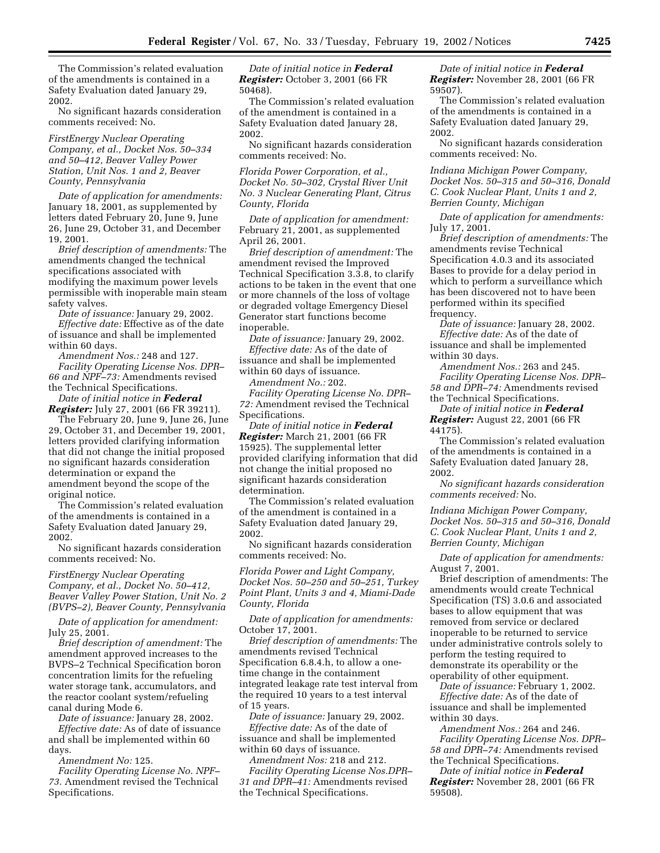The Commission's related evaluation of the amendments is contained in a Safety Evaluation dated January 29, 2002.

No significant hazards consideration comments received: No.

*FirstEnergy Nuclear Operating Company, et al., Docket Nos. 50–334 and 50–412, Beaver Valley Power Station, Unit Nos. 1 and 2, Beaver County, Pennsylvania*

*Date of application for amendments:* January 18, 2001, as supplemented by letters dated February 20, June 9, June 26, June 29, October 31, and December 19, 2001.

*Brief description of amendments:* The amendments changed the technical specifications associated with modifying the maximum power levels permissible with inoperable main steam safety valves.

*Date of issuance:* January 29, 2002. *Effective date:* Effective as of the date of issuance and shall be implemented

within 60 days. *Amendment Nos.:* 248 and 127. *Facility Operating License Nos. DPR– 66 and NPF–73:* Amendments revised

the Technical Specifications. *Date of initial notice in Federal Register:* July 27, 2001 (66 FR 39211).

The February 20, June 9, June 26, June 29, October 31, and December 19, 2001, letters provided clarifying information that did not change the initial proposed no significant hazards consideration determination or expand the amendment beyond the scope of the original notice.

The Commission's related evaluation of the amendments is contained in a Safety Evaluation dated January 29, 2002.

No significant hazards consideration comments received: No.

*FirstEnergy Nuclear Operating Company, et al., Docket No. 50–412, Beaver Valley Power Station, Unit No. 2 (BVPS–2), Beaver County, Pennsylvania*

*Date of application for amendment:* July 25, 2001.

*Brief description of amendment:* The amendment approved increases to the BVPS–2 Technical Specification boron concentration limits for the refueling water storage tank, accumulators, and the reactor coolant system/refueling canal during Mode 6.

*Date of issuance:* January 28, 2002. *Effective date:* As of date of issuance and shall be implemented within 60 days.

*Amendment No:* 125.

*Facility Operating License No. NPF– 73.* Amendment revised the Technical Specifications.

*Date of initial notice in Federal Register:* October 3, 2001 (66 FR 50468).

The Commission's related evaluation of the amendment is contained in a Safety Evaluation dated January 28, 2002.

No significant hazards consideration comments received: No.

*Florida Power Corporation, et al., Docket No. 50–302, Crystal River Unit No. 3 Nuclear Generating Plant, Citrus County, Florida*

*Date of application for amendment:* February 21, 2001, as supplemented April 26, 2001.

*Brief description of amendment:* The amendment revised the Improved Technical Specification 3.3.8, to clarify actions to be taken in the event that one or more channels of the loss of voltage or degraded voltage Emergency Diesel Generator start functions become inoperable.

*Date of issuance:* January 29, 2002. *Effective date:* As of the date of issuance and shall be implemented within 60 days of issuance.

*Amendment No.:* 202.

*Facility Operating License No. DPR– 72:* Amendment revised the Technical Specifications.

*Date of initial notice in Federal Register:* March 21, 2001 (66 FR 15925). The supplemental letter provided clarifying information that did not change the initial proposed no significant hazards consideration determination.

The Commission's related evaluation of the amendment is contained in a Safety Evaluation dated January 29, 2002.

No significant hazards consideration comments received: No.

*Florida Power and Light Company, Docket Nos. 50–250 and 50–251, Turkey Point Plant, Units 3 and 4, Miami-Dade County, Florida*

*Date of application for amendments:* October 17, 2001.

*Brief description of amendments:* The amendments revised Technical Specification 6.8.4.h, to allow a onetime change in the containment integrated leakage rate test interval from the required 10 years to a test interval of 15 years.

*Date of issuance:* January 29, 2002. *Effective date:* As of the date of issuance and shall be implemented within 60 days of issuance.

*Amendment Nos:* 218 and 212. *Facility Operating License Nos.DPR– 31 and DPR–41:* Amendments revised the Technical Specifications.

*Date of initial notice in Federal Register:* November 28, 2001 (66 FR 59507).

The Commission's related evaluation of the amendments is contained in a Safety Evaluation dated January 29, 2002.

No significant hazards consideration comments received: No.

*Indiana Michigan Power Company, Docket Nos. 50–315 and 50–316, Donald C. Cook Nuclear Plant, Units 1 and 2, Berrien County, Michigan*

*Date of application for amendments:* July 17, 2001.

*Brief description of amendments:* The amendments revise Technical Specification 4.0.3 and its associated Bases to provide for a delay period in which to perform a surveillance which has been discovered not to have been performed within its specified frequency.

*Date of issuance:* January 28, 2002. *Effective date:* As of the date of issuance and shall be implemented within 30 days.

*Amendment Nos.:* 263 and 245. *Facility Operating License Nos. DPR– 58 and DPR–74:* Amendments revised the Technical Specifications.

*Date of initial notice in Federal Register:* August 22, 2001 (66 FR 44175).

The Commission's related evaluation of the amendments is contained in a Safety Evaluation dated January 28, 2002.

*No significant hazards consideration comments received:* No.

*Indiana Michigan Power Company, Docket Nos. 50–315 and 50–316, Donald C. Cook Nuclear Plant, Units 1 and 2, Berrien County, Michigan*

*Date of application for amendments:* August 7, 2001.

Brief description of amendments: The amendments would create Technical Specification (TS) 3.0.6 and associated bases to allow equipment that was removed from service or declared inoperable to be returned to service under administrative controls solely to perform the testing required to demonstrate its operability or the operability of other equipment.

*Date of issuance:* February 1, 2002. *Effective date:* As of the date of issuance and shall be implemented within 30 days.

*Amendment Nos.:* 264 and 246. *Facility Operating License Nos. DPR– 58 and DPR–74:* Amendments revised the Technical Specifications.

*Date of initial notice in Federal Register:* November 28, 2001 (66 FR 59508).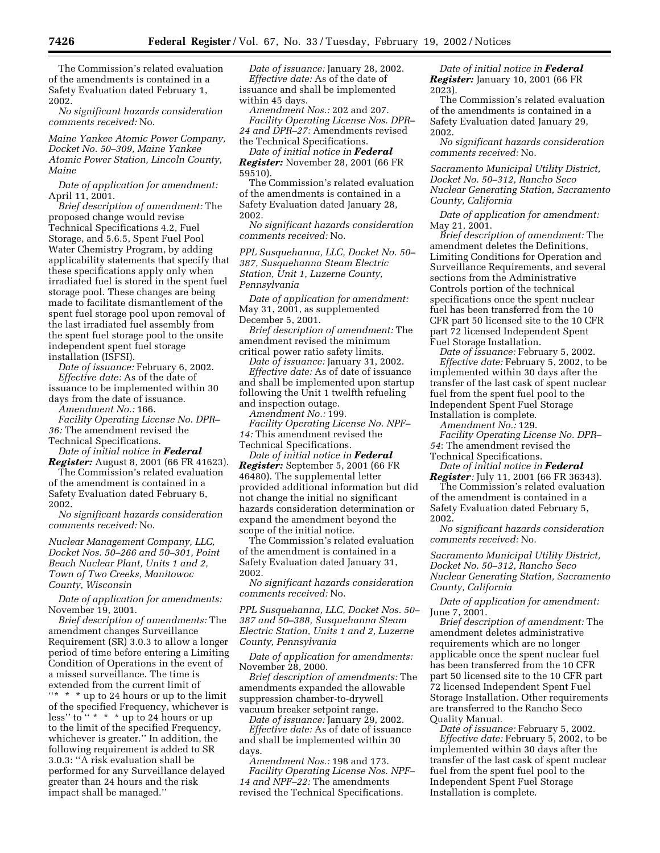The Commission's related evaluation of the amendments is contained in a Safety Evaluation dated February 1, 2002.

*No significant hazards consideration comments received:* No.

*Maine Yankee Atomic Power Company, Docket No. 50–309, Maine Yankee Atomic Power Station, Lincoln County, Maine*

*Date of application for amendment:* April 11, 2001.

*Brief description of amendment:* The proposed change would revise Technical Specifications 4.2, Fuel Storage, and 5.6.5, Spent Fuel Pool Water Chemistry Program, by adding applicability statements that specify that these specifications apply only when irradiated fuel is stored in the spent fuel storage pool. These changes are being made to facilitate dismantlement of the spent fuel storage pool upon removal of the last irradiated fuel assembly from the spent fuel storage pool to the onsite independent spent fuel storage installation (ISFSI).

*Date of issuance:* February 6, 2002. *Effective date:* As of the date of issuance to be implemented within 30 days from the date of issuance.

*Amendment No.:* 166.

*Facility Operating License No. DPR– 36:* The amendment revised the Technical Specifications.

*Date of initial notice in Federal Register:* August 8, 2001 (66 FR 41623).

The Commission's related evaluation of the amendment is contained in a Safety Evaluation dated February 6, 2002.

*No significant hazards consideration comments received:* No.

*Nuclear Management Company, LLC, Docket Nos. 50–266 and 50–301, Point Beach Nuclear Plant, Units 1 and 2, Town of Two Creeks, Manitowoc County, Wisconsin*

*Date of application for amendments:* November 19, 2001.

*Brief description of amendments:* The amendment changes Surveillance Requirement (SR) 3.0.3 to allow a longer period of time before entering a Limiting Condition of Operations in the event of a missed surveillance. The time is extended from the current limit of ''\* \* \* up to 24 hours or up to the limit of the specified Frequency, whichever is less" to " \* \* \* up to 24 hours or up to the limit of the specified Frequency, whichever is greater.'' In addition, the following requirement is added to SR 3.0.3: ''A risk evaluation shall be performed for any Surveillance delayed greater than 24 hours and the risk impact shall be managed.''

*Date of issuance:* January 28, 2002. *Effective date:* As of the date of issuance and shall be implemented within 45 days.

*Amendment Nos.:* 202 and 207. *Facility Operating License Nos. DPR– 24 and DPR–27:* Amendments revised the Technical Specifications.

*Date of initial notice in Federal Register:* November 28, 2001 (66 FR 59510).

The Commission's related evaluation of the amendments is contained in a Safety Evaluation dated January 28, 2002.

*No significant hazards consideration comments received:* No.

*PPL Susquehanna, LLC, Docket No. 50– 387, Susquehanna Steam Electric Station, Unit 1, Luzerne County, Pennsylvania*

*Date of application for amendment:* May 31, 2001, as supplemented December 5, 2001.

*Brief description of amendment:* The amendment revised the minimum critical power ratio safety limits.

*Date of issuance:* January 31, 2002. *Effective date:* As of date of issuance and shall be implemented upon startup following the Unit 1 twelfth refueling and inspection outage.

*Amendment No.:* 199.

*Facility Operating License No. NPF– 14:* This amendment revised the Technical Specifications.

*Date of initial notice in Federal Register:* September 5, 2001 (66 FR 46480). The supplemental letter provided additional information but did not change the initial no significant hazards consideration determination or expand the amendment beyond the scope of the initial notice.

The Commission's related evaluation of the amendment is contained in a Safety Evaluation dated January 31, 2002.

*No significant hazards consideration comments received:* No.

*PPL Susquehanna, LLC, Docket Nos. 50– 387 and 50–388, Susquehanna Steam Electric Station, Units 1 and 2, Luzerne County, Pennsylvania*

*Date of application for amendments:* November 28, 2000.

*Brief description of amendments:* The amendments expanded the allowable suppression chamber-to-drywell vacuum breaker setpoint range.

*Date of issuance:* January 29, 2002. *Effective date:* As of date of issuance and shall be implemented within 30 days.

*Amendment Nos.:* 198 and 173. *Facility Operating License Nos. NPF– 14 and NPF–22:* The amendments revised the Technical Specifications.

*Date of initial notice in Federal Register:* January 10, 2001 (66 FR 2023).

The Commission's related evaluation of the amendments is contained in a Safety Evaluation dated January 29, 2002.

*No significant hazards consideration comments received:* No.

*Sacramento Municipal Utility District, Docket No. 50–312, Rancho Seco Nuclear Generating Station, Sacramento County, California*

*Date of application for amendment:* May 21, 2001.

*Brief description of amendment:* The amendment deletes the Definitions, Limiting Conditions for Operation and Surveillance Requirements, and several sections from the Administrative Controls portion of the technical specifications once the spent nuclear fuel has been transferred from the 10 CFR part 50 licensed site to the 10 CFR part 72 licensed Independent Spent Fuel Storage Installation.

*Date of issuance:* February 5, 2002. *Effective date:* February 5, 2002, to be implemented within 30 days after the transfer of the last cask of spent nuclear fuel from the spent fuel pool to the Independent Spent Fuel Storage Installation is complete.

*Amendment No.:* 129.

*Facility Operating License No. DPR– 54*: The amendment revised the Technical Specifications.

*Date of initial notice in Federal Register:* July 11, 2001 (66 FR 36343).

The Commission's related evaluation of the amendment is contained in a Safety Evaluation dated February 5, 2002.

*No significant hazards consideration comments received:* No.

*Sacramento Municipal Utility District, Docket No. 50–312, Rancho Seco Nuclear Generating Station, Sacramento County, California*

*Date of application for amendment:* June 7, 2001.

*Brief description of amendment:* The amendment deletes administrative requirements which are no longer applicable once the spent nuclear fuel has been transferred from the 10 CFR part 50 licensed site to the 10 CFR part 72 licensed Independent Spent Fuel Storage Installation. Other requirements are transferred to the Rancho Seco Quality Manual.

*Date of issuance:* February 5, 2002. *Effective date:* February 5, 2002, to be implemented within 30 days after the transfer of the last cask of spent nuclear fuel from the spent fuel pool to the Independent Spent Fuel Storage Installation is complete.